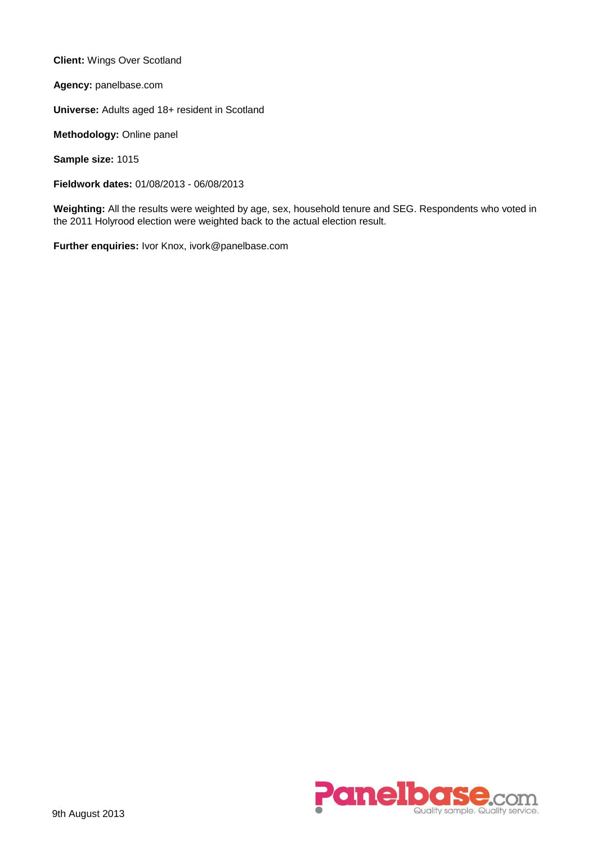**Client:** Wings Over Scotland

**Agency:** panelbase.com

**Universe:** Adults aged 18+ resident in Scotland

**Methodology:** Online panel

**Sample size:** 1015

**Fieldwork dates:** 01/08/2013 - 06/08/2013

**Weighting:** All the results were weighted by age, sex, household tenure and SEG. Respondents who voted in the 2011 Holyrood election were weighted back to the actual election result.

**Further enquiries:** Ivor Knox, ivork@panelbase.com

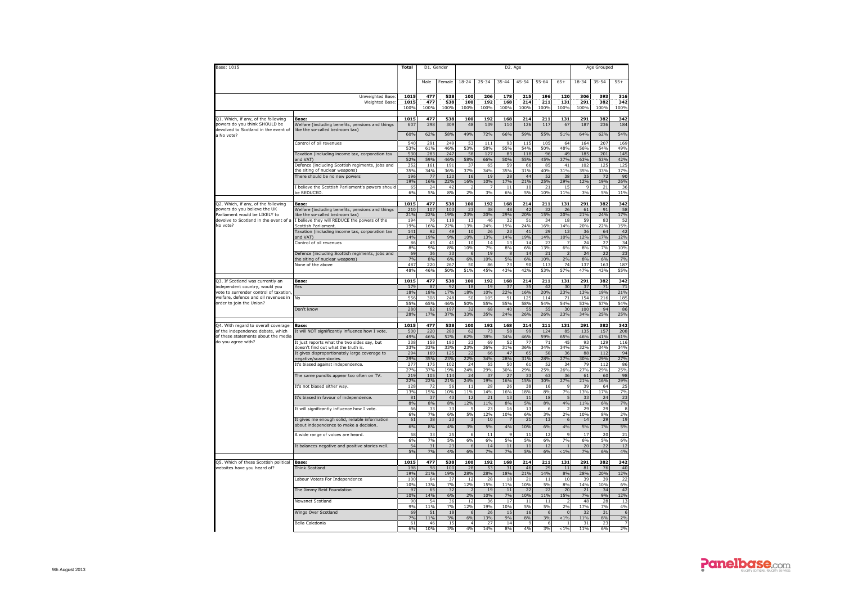| Base: 1015                                                                    |                                                                                                                      | <b>Total</b>            | D1. Gender         |                    |                      |                    | D <sub>2</sub> . Age |                    |                    |                           |                    | Age Grouped        |                         |
|-------------------------------------------------------------------------------|----------------------------------------------------------------------------------------------------------------------|-------------------------|--------------------|--------------------|----------------------|--------------------|----------------------|--------------------|--------------------|---------------------------|--------------------|--------------------|-------------------------|
|                                                                               |                                                                                                                      |                         | Male               | Female             | 18-24                | 25-34              | 35-44                | 45-54              | 55-64              | $65+$                     | 18-34              | 35-54              | $55+$                   |
|                                                                               | Unweighted Base<br>Weighted Base:                                                                                    | 1015<br>1015<br>100%    | 477<br>477<br>100% | 538<br>538<br>100% | 100<br>100<br>100%   | 206<br>192<br>100% | 178<br>168<br>100%   | 215<br>214<br>100% | 196<br>211<br>100% | 120<br>131<br>100%        | 306<br>291<br>100% | 393<br>382<br>100% | 316<br>342<br>100%      |
| 21. Which, if any, of the following                                           | Base:                                                                                                                | 1015                    | 477                | 538                | 100                  | 192                | 168                  | 214                | 211                | 131                       | 291                | 382                | 342                     |
| powers do you think SHOULD be<br>devolved to Scotland in the event of         | Welfare (including benefits, pensions and things<br>like the so-called bedroom tax)                                  | 607                     | 298                | 309                | 48                   | 139                | 110                  | 126                | 117                | 67                        | 187                | 236                | 184                     |
| a No vote?                                                                    | Control of oil revenues                                                                                              | 60%<br>540              | 62%<br>291         | 58%<br>249         | 49%<br>53            | 72%<br>111         | 66%<br>93            | 59%<br>115         | 55%<br>105         | 51%<br>64                 | 64%<br>164         | 62%<br>207         | 54%<br>169              |
|                                                                               |                                                                                                                      | 53%                     | 61%                | 46%                | 53%                  | 58%                | 55%                  | 54%                | 50%                | 48%                       | 56%                | 54%                | 49%                     |
|                                                                               | Taxation (including income tax, corporation tax<br>and VAT)                                                          | 530<br>52%              | 283<br>59%         | 247<br>46%         | 58<br>58%            | 127<br>66%         | 83<br>50%            | 118<br>55%         | 96<br>45%          | 49<br>37%                 | 185<br>63%         | 201<br>53%         | 145<br>42%              |
|                                                                               | Defence (including Scottish regiments, jobs and<br>the siting of nuclear weapons)                                    | 352<br>35%              | 161<br>34%         | 191<br>36%         | 37<br>37%            | 65<br>34%          | 59<br>35%            | 66<br>31%          | 85<br>40%          | 41<br>31%                 | 102<br>35%         | 125<br>33%         | 125<br>37%              |
|                                                                               | There should be no new powers                                                                                        | 196<br>19%              | 77<br>16%          | 120<br>22%         | 16<br>16%            | 19<br>10%          | 28<br>17%            | 44<br>21%          | 52<br>25%          | 38<br>29%                 | 35<br>12%          | 72<br>19%          | 90<br>26%               |
|                                                                               | I believe the Scottish Parliament's powers should                                                                    | 65                      | 24                 | 42                 | $\overline{2}$       | $\overline{7}$     | 11                   | 10                 | 21                 | 15                        | 9                  | 21                 | 36                      |
|                                                                               | be REDUCED                                                                                                           | 6%                      | 5%                 | 8%                 | 2%                   | 3%                 | 6%                   | 5%                 | 10%                | 11%                       | 3%                 | 5%                 | 11%                     |
| Q2. Which, if any, of the following<br>powers do you believe the UK           | Base:<br>Welfare (including benefits, pensions and things                                                            | 1015<br>210             | 477<br>107         | 538<br>103         | 100<br>23            | 192<br>38          | 168<br>48            | 214<br>42          | 211<br>32          | 131<br>26                 | 291<br>61          | 382<br>91          | 342<br>58               |
| Parliament would be LIKELY to                                                 | ike the so-called bedroom tax)<br>devolve to Scotland in the event of a I believe they will REDUCE the powers of the | 21%<br>194              | 22%<br>76          | 19%<br>118         | 23%<br>13            | 20%<br>46          | 29%<br>32            | 20%<br>51          | 15%<br>34          | 20%<br>18                 | 21%<br>59          | 24%<br>83          | 17%<br>52               |
| No vote?                                                                      | Scottish Parliament.                                                                                                 | 19%                     | 16%                | 22%                | 13%                  | 24%                | 19%                  | 24%                | 16%                | 14%                       | 20%                | 22%                | 15%                     |
|                                                                               | Taxation (including income tax, corporation tax<br>and VAT)                                                          | 141<br>14%              | 92<br>19%          | 49<br>9%           | 10<br>10%            | 26<br>13%          | 23<br>14%            | 41<br>19%          | 29<br>14%          | 13<br>10%                 | 36<br>12%          | 64<br>17%          | 42<br>12%               |
|                                                                               | Control of oil revenues                                                                                              | 86<br>8%                | 45<br>9%           | 41<br>8%           | 10<br>10%            | 14<br>7%           | 13<br>8%             | 14<br>6%           | 27<br>13%          | 7<br>6%                   | 24<br>8%           | 27<br>7%           | 34<br>10%               |
|                                                                               | Defence (including Scottish regiments, jobs and                                                                      | 69                      | 36                 | 33                 | 6                    | 19                 | $\bf8$               | 14                 | 21                 |                           | 24                 | 22                 | 23                      |
|                                                                               | the siting of nuclear weapons)<br>None of the above                                                                  | 7%<br>487<br>48%        | 8%<br>220<br>46%   | 6%<br>267<br>50%   | 6%<br>50<br>51%      | 10%<br>86<br>45%   | 5%<br>73<br>43%      | 6%<br>90<br>42%    | 10%<br>113<br>53%  | 2%<br>74<br>57%           | 8%<br>137<br>47%   | 6%<br>163<br>43%   | <b>7%</b><br>187<br>55% |
|                                                                               |                                                                                                                      |                         |                    |                    |                      |                    |                      |                    |                    |                           |                    |                    |                         |
| Q3. If Scotland was currently an<br>ndependent country, would you             | Base:<br>Yes                                                                                                         | 1015<br>17 <sup>9</sup> | 477<br>87          | 538<br>92          | 100<br>18            | 192<br>19          | 168<br>37            | 214<br>35          | 211<br>42          | 131<br>30                 | 291<br>37          | 382<br>71          | 342<br>71               |
| vote to surrender control of taxation<br>welfare, defence and oil revenues in | No                                                                                                                   | 18%<br>556              | 18%<br>308         | 17%<br>248         | 18%<br>50            | 10%<br>105         | 22%<br>91            | 16%<br>125         | 20%<br>114         | 23%<br>71                 | 13%<br>154         | 19%<br>216         | 21%<br>185              |
| order to join the Union?                                                      | Don't know                                                                                                           | 55%<br>280              | 65%<br>82          | 46%<br>197         | 50%<br>32            | 55%<br>68          | 55%<br>40            | 58%<br>55          | 54%<br>55          | 54%<br>30                 | 53%<br>100         | 57%<br>94          | 54%<br>86               |
|                                                                               |                                                                                                                      | 28%                     | 17%                | 37%                | 33%                  | 35%                | 24%                  | 26%                | 26%                | 23%                       | 34%                | 25%                | 25%                     |
| 04. With regard to overall coverage                                           | Base:                                                                                                                | 1015                    | 477                | 538                | 100                  | 192                | 168                  | 214                | 211                | 131                       | 291                | 382                | 342                     |
| of the independence debate, which<br>of these statements about the media      | It will NOT significantly influence how I vote.                                                                      | 500<br>49%              | 220<br>46%         | 280<br>52%         | 62<br>62%            | 73<br>38%          | 58<br>34%            | 99<br>46%          | 124<br>59%         | 85<br>65%                 | 135<br>46%         | 157<br>41%         | 208<br>61%              |
| do you agree with?                                                            | It just reports what the two sides say, but<br>doesn't find out what the truth is.                                   | 338<br>33%              | 158<br>33%         | 180<br>33%         | 23<br>23%            | 69<br>36%          | 52<br>31%            | 77<br>36%          | 71<br>34%          | 45<br>34%                 | 93<br>32%          | 129<br>34%         | 116<br>34%              |
|                                                                               | It gives disproportionately large coverage to                                                                        | 294<br>29%              | 169<br>35%         | 125<br>23%         | 22<br>22%            | 66<br>34%          | 47<br>28%            | 65<br>31%          | 58<br>28%          | 36<br>27%                 | 88<br>30%          | 112<br>29%         | 94<br>27%               |
|                                                                               | negative/scare stories.<br>It's biased against independence.                                                         | 277                     | 175                | 102                | 24                   | 55                 | 50                   | 61                 | 52                 | 34                        | 79                 | 112                | 86                      |
|                                                                               | The same pundits appear too often on TV.                                                                             | 27%<br>219              | 37%<br>105         | 19%<br>114         | 24%<br>24            | 29%<br>37          | 30%<br>27            | 29%<br>33          | 25%<br>63          | 26%<br>36                 | 27%<br>61          | 29%<br>60          | 25%<br>98               |
|                                                                               | It's not biased either way.                                                                                          | 22%<br>128              | 22%<br>72          | 21%<br>56          | 24%<br>11            | 19%<br>28          | 16%<br>26            | 15%<br>38          | 30%<br>16          | 27%<br>$\circ$            | 21%<br>39          | 16%<br>64          | 29%<br>25               |
|                                                                               |                                                                                                                      | 13%                     | 15%                | 10%                | 11%                  | 14%                | 16%                  | 18%                | 8%                 | 7%<br>5                   | 13%                | 17%                | 7%                      |
|                                                                               | It's biased in favour of independence.                                                                               | 81<br>8%                | 37<br>8%           | 43<br>8%           | 12<br>12%            | 21<br>11%          | 13<br>8%             | $11\,$<br>5%       | 18<br>8%           | 4%                        | 33<br>11%          | 24<br>6%           | 23<br>7%                |
|                                                                               | It will significantly influence how I vote.                                                                          | 66<br>6%                | 33<br>7%           | 33<br>6%           | 5<br>5%              | 23<br>12%          | 16<br>10%            | 13<br>6%           | 6<br>3%            | 2%                        | 29<br>10%          | 29<br>8%           | 8<br>2%                 |
|                                                                               | It gives me enough solid, reliable information<br>about independence to make a decision.                             | 61<br>6%                | 38<br>8%           | 23<br>4%           | 3                    | 10<br>5%           | 7                    | 21<br>10%          | 13<br>6%           | 6<br>4%                   | 14<br>5%           | 29<br>7%           | 19<br>5%                |
|                                                                               | A wide range of voices are heard.                                                                                    | 58                      | 33                 | 25                 | 3%<br>6              | 11                 | 4%<br>$\mathsf q$    | 11                 | 12                 | $\alpha$                  | 17                 | 20                 | 21                      |
|                                                                               | It balances negative and positive stories well.                                                                      | 6%<br>54                | 7%<br>31           | 5%<br>73           | 6%<br>6              | 6%<br>14           | 5%<br>11             | 5%<br>11           | 6%<br>12           | 7%                        | 6%<br>20           | 5%<br>22           | 6%<br>12                |
|                                                                               |                                                                                                                      | 5%                      | 7%                 | 4%                 | 6%                   | 7%                 | 7%                   | 5%                 | 6%                 | < 1%                      | 7%                 | 6%                 | 4%                      |
| Q5. Which of these Scottish political                                         | Base:                                                                                                                | 1015                    | 477                | 538                | 100                  | 192                | 168                  | 214                | 211                | 131                       | 291                | 382                | 342                     |
| websites have you heard of?                                                   | Think Scotland                                                                                                       | 198<br>19%              | 98<br>21%          | 100<br>19%         | 28<br>28%            | 53<br>28%          | 31<br>18%            | 46<br>21%          | 29<br>14%          | 11<br>8%                  | 81<br>28%          | 76<br>20%          | 40<br>12%               |
|                                                                               | Labour Voters For Independence                                                                                       | 100<br>10%              | 64<br>13%          | 37<br>7%           | 12<br>12%            | 28<br>15%          | 18<br>11%            | 21<br>10%          | 11<br>5%           | 10<br>8%                  | 39<br>14%          | 39<br>10%          | 22<br>6%                |
|                                                                               | The Jimmy Reid Foundation                                                                                            | 97<br>10%               | 65<br>14%          | 32<br>6%           | $\overline{2}$<br>2% | 19                 | 11<br>7%             | 22<br>10%          | 22<br>11%          | 20                        | 21<br>7%           | 34<br>9%           | 42                      |
|                                                                               | Newsnet Scotland                                                                                                     | 90                      | 54                 | 36                 | 12                   | 10%<br>36          | 17                   | 11                 | 11                 | 15%                       | 48                 | 28                 | 12%<br>13               |
|                                                                               | Wings Over Scotland                                                                                                  | 9%<br>69                | 11%<br>51          | 7%<br>18           | 12%<br>6             | 19%<br>26          | 10%<br>15            | 5%<br>16           | 5%<br>6            | 2%<br>$\Omega$            | 17%<br>32          | 7%<br>31           | 4%<br>6                 |
|                                                                               | Bella Caledonia                                                                                                      | 7%<br>61                | 11%<br>46          | 3%<br>15           | 6%<br>$\mathbf{A}$   | 13%<br>27          | 9%<br>14             | 8%<br>$\alpha$     | 3%<br>6            | $< 1\%$<br>$\overline{1}$ | 11%<br>31          | $8\%$<br>23        | 2%<br>$\overline{7}$    |
|                                                                               |                                                                                                                      | 6%                      | 10%                | 3%                 | 4%                   | 14%                | 8%                   | 4%                 | 3%                 | $< 1\%$                   | 11%                | 6%                 | 2%                      |

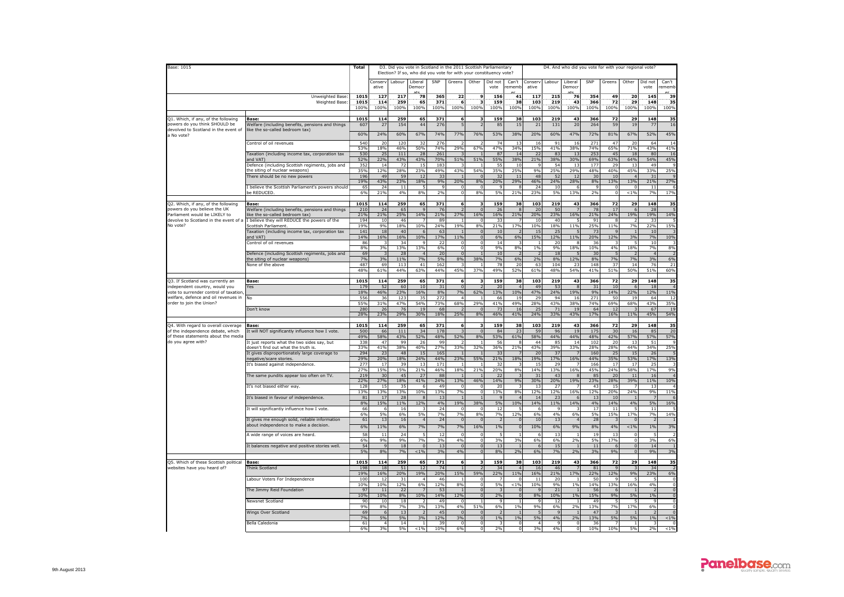| Base: 1015                                                               |                                                                                    | Total        |                      |                 |                           |                       | D3. Did you vote in Scotland in the 2011 Scottish Parliamentary<br>Election? If so, who did you vote for with your constituency vote? |                                  |                 |                          |                       |                    | D4. And who did you vote for with your regional vote? |            |                        |                           |                              |                |
|--------------------------------------------------------------------------|------------------------------------------------------------------------------------|--------------|----------------------|-----------------|---------------------------|-----------------------|---------------------------------------------------------------------------------------------------------------------------------------|----------------------------------|-----------------|--------------------------|-----------------------|--------------------|-------------------------------------------------------|------------|------------------------|---------------------------|------------------------------|----------------|
|                                                                          |                                                                                    |              | Conserv              |                 | Labour Liberal            | SNP                   | Greens                                                                                                                                | Other                            | Did not         | Can't                    | Conserv               | Labour             | Liberal                                               | SNP        | Greens                 | Other                     | Did not                      | Can't          |
|                                                                          |                                                                                    |              | ative                |                 | Democr                    |                       |                                                                                                                                       |                                  | vote            | rememt                   | ative                 |                    | Democr                                                |            |                        |                           | vote                         | ememb          |
|                                                                          | Unweighted Base:<br>Weighted Base                                                  | 1015<br>1015 | 127<br>114           | 217<br>259      | 78<br>65                  | 365<br>371            | 22<br>6                                                                                                                               | 9<br>з                           | 156<br>159      | 41<br>38                 | 117<br>103            | 215<br>219         | 76<br>43                                              | 354<br>366 | 49<br>72               | 20<br>29                  | 145<br>148                   | 39<br>35       |
|                                                                          |                                                                                    | 100%         | 100%                 | 100%            | 100%                      | 100%                  | 100%                                                                                                                                  | 100%                             | 100%            | 100%                     | 100%                  | 100%               | 100%                                                  | 100%       | 100%                   | 100%                      | 100%                         | 100%           |
| 21. Which, if any, of the following<br>owers do you think SHOULD be      | Base:<br>Welfare (including benefits, pensions and things                          | 1015<br>607  | 114<br>27            | 259<br>154      | 65<br>44                  | 371<br>276            | 6<br>5                                                                                                                                | 3<br>$\overline{2}$              | 159<br>85       | 38<br>15                 | 103<br>21             | 219<br>131         | 43<br>20                                              | 366<br>264 | 72<br>59               | 29<br>19                  | 148<br>77                    | 35<br>16       |
| levolved to Scotland in the event of                                     | like the so-called bedroom tax)                                                    | 60%          | 24%                  | 60%             | 67%                       | 74%                   | 77%                                                                                                                                   | 76%                              | 53%             | 38%                      | 20%                   | 60%                | 47%                                                   | 72%        | 81%                    | 67%                       | 52%                          | 45%            |
| a No vote?                                                               | Control of oil revenues                                                            | 540          | 20                   | 120             | 32                        | 276                   |                                                                                                                                       |                                  | 74              | 13                       | 16                    | 91                 | 16                                                    | 271        | 47                     | 20                        | 64                           | 1 <sup>4</sup> |
|                                                                          |                                                                                    | 53%          | 18%                  | 46%             | 50%                       | 74%                   | 29%                                                                                                                                   | 67%                              | 47%             | 34%                      | 15%                   | 41%                | 38%                                                   | 74%        | 65%                    | 71%                       | 43%                          | 41%            |
|                                                                          | Taxation (including income tax, corporation tax<br>and VAT)                        | 530<br>52%   | 25<br>22%            | 111<br>43%      | 28<br>43%                 | 261<br>70%            | 51%                                                                                                                                   | $\mathbf{1}$<br>51%              | 87<br>55%       | 14<br>38%                | 22<br>21%             | 83<br>38%          | 13<br>30%                                             | 253<br>69% | 45<br>63%              | 18<br>64%                 | 80<br>54%                    | 16<br>45%      |
|                                                                          | Defence (including Scottish regiments, jobs and<br>the siting of nuclear weapons)  | 352<br>35%   | 14<br>12%            | 72<br>28%       | 15<br>23%                 | 183<br>49%            | 43%                                                                                                                                   | 54%                              | 55<br>35%       | 10<br>25%                | 9%                    | 54<br>25%          | 13<br>29%                                             | 177<br>48% | 29<br>40%              | 13<br>45%                 | 49<br>33%                    | 25%            |
|                                                                          | There should be no new powers                                                      | 196<br>19%   | 49                   | 59              | 12                        | 33                    |                                                                                                                                       | $\mathbf{0}$                     | 32              | 11                       | 48                    | 52                 | 12                                                    | 30         | 10                     |                           | 31                           |                |
|                                                                          | I believe the Scottish Parliament's powers should                                  | 65           | 43%<br>24            | 23%<br>11       | 18%                       | 9%                    | 20%<br>0                                                                                                                              | 8%<br>0                          | 20%             | 29%                      | 46%<br>24             | 24%<br>10          | 28%<br>-6                                             | 8%         | 13%<br>0               | 13%<br>- 0                | 21%<br>11                    | 27%            |
|                                                                          | e REDUCED                                                                          | 6%           | 21%                  | 4%              | 8%                        | 2%                    | $\Omega$                                                                                                                              | 8%                               | 5%              | 21%                      | 23%                   | 5%                 | 13%                                                   | 2%         | $\Omega$               | < 10h                     | <b>7%</b>                    | 17%            |
| Q2. Which, if any, of the following<br>powers do vou believe the UK      | Base:                                                                              | 1015<br>210  | 114<br>24            | 259<br>65       | 65                        | 371<br>76             | 6                                                                                                                                     | 3<br>$\Omega$                    | 159             | 38                       | 103<br>20             | 219<br>50          | 43                                                    | 366<br>78  | 72<br>17               | 29<br>-6                  | 148<br>28                    | 35             |
| arliament would be LIKELY to                                             | Welfare (including benefits, pensions and things<br>ike the so-called bedroom tax) | 21%          | 21%                  | 25%             | 14%                       | 21%                   | 27%                                                                                                                                   | 16%                              | 26<br>16%       | 21%                      | 20%                   | 23%                | 16%                                                   | 21%        | 24%                    | 19%                       | 19%                          | 14%            |
| devolve to Scotland in the event of a<br>No vote?                        | I believe they will REDUCE the powers of the<br>Scottish Parliament.               | 194<br>19%   | 10<br>9%             | 46<br>18%       | 10%                       | 89<br>24%             | 19%                                                                                                                                   | $\mathbf 0$<br>8%                | 33<br>21%       | 17%                      | 10<br>10%             | 40<br>18%          | 5<br>11%                                              | 91<br>25%  | 8<br>11%               | 7%                        | 33<br><b>22%</b>             | 15%            |
|                                                                          | Taxation (including income tax, corporation tax<br>and VAT)                        | 141<br>14%   | 18<br>16%            | 40<br>16%       | -6<br>10%                 | 63<br>17%             | 11%                                                                                                                                   | $\Omega$<br>$\Omega$             | 10<br>6%        | 6%                       | 15<br>15%             | 25<br>12%          | 5<br>11%                                              | 73<br>20%  | q<br>12%               | 3%                        | 10<br>7%                     | 10%            |
|                                                                          | Control of oil revenues                                                            | 86           | ्र                   | 34              | $\alpha$                  | -22                   | $\Omega$                                                                                                                              | $\Omega$                         | 14              |                          |                       | 20                 | 8                                                     | 36         |                        | -5                        | 10                           |                |
|                                                                          | Defence (including Scottish regiments, jobs and                                    | 8%<br>69     | 3%<br>$\overline{3}$ | 13%<br>28       | 13%<br>$\Delta$           | 6%<br>20              | $\mathbf 0$<br>$\sqrt{2}$                                                                                                             | $^{\circ}$<br>$\overline{1}$     | 9%<br>10        | 8%                       | 1%                    | 9%<br>18           | 18%<br>5                                              | 10%<br>30  | 4%                     | 18%<br>$\overline{z}$     | 7%<br>$\Delta$               | 8%             |
|                                                                          | the siting of nuclear weapons)<br>None of the above                                | 7%<br>487    | 3%<br>69             | 11%<br>113      | 7%<br>41                  | 5%<br>162             | 8%<br>3                                                                                                                               | 38%<br>$\overline{1}$            | <b>7%</b><br>78 | 6%<br>20                 | 2%<br>63              | 8%<br>104          | 12%<br>23                                             | 8%<br>148  | 7%<br>37               | 7%<br>14                  | 3%<br>76                     | 6%<br>21       |
|                                                                          |                                                                                    | 48%          | 61%                  | 44%             | 63%                       | 44%                   | 45%                                                                                                                                   | 37%                              | 49%             | 529                      | 61%                   | 48%                | 54%                                                   | 41%        | 51%                    | 50%                       | 51%                          | 60%            |
| 23. If Scotland was currently an                                         | Base:                                                                              | 1015         | 114                  | 259             | 65                        | 371                   | 6                                                                                                                                     |                                  | 159             | 38                       | 103                   | 219                | 43                                                    | 366        | 72                     | 29                        | 148                          | 35             |
| ndependent country, would you<br>rote to surrender control of taxation   | Yes                                                                                | 179<br>18%   | 52<br>46%            | 60<br>23%       | 10<br>16%                 | 31<br>8%              | $\Omega$<br>7%                                                                                                                        | $\overline{z}$<br>62%            | 20<br>13%       | $\Lambda$<br>10%         | 4 <sup>c</sup><br>47% | 53<br>24%          | $\mathcal{R}$<br>19%                                  | 31<br>9%   | 10<br>14%              | -6<br>22%                 | 18<br>12%                    | 11%            |
| velfare, defence and oil revenues in<br>order to join the Union?         | No                                                                                 | 556<br>55%   | 36<br>31%            | 123             | -35                       | 272<br><b>73%</b>     | $\mathbf{A}$<br>68%                                                                                                                   | -1<br>29%                        | 66              | 19<br>49%                | 29                    | 94<br>43%          | 16<br>38%                                             | 271        | 50<br>69%              | 19                        | 64<br>43%                    | 12             |
|                                                                          | Don't know                                                                         | 280          | 26                   | 47%<br>76       | 54%<br>19                 | 68                    |                                                                                                                                       | $\mathbf{0}$                     | 41%<br>73       | 16                       | 28%<br>25             | 71                 | 19                                                    | 74%<br>64  | 12                     | 68%<br>3                  | 67                           | 35%<br>19      |
|                                                                          |                                                                                    | 28%          | 23%                  | 29%             | 30%                       | 18%                   | 25%                                                                                                                                   | 8%                               | 46%             | 41%                      | 24%                   | 33%                | 43%                                                   | 17%        | 16%                    | 11%                       | 45%                          | 54%            |
| 24. With regard to overall coverage<br>of the independence debate, which | <b>Base:</b><br>It will NOT significantly influence how I vote.                    | 1015<br>500  | 114<br>66            | 259<br>111      | 65<br>34                  | 371<br>178            | 6                                                                                                                                     | 3<br>$\mathbf 0$                 | 159<br>84       | 38<br>2                  | 103<br>59             | 219<br>96          | 43<br>19                                              | 366<br>175 | 72<br>30               | 29<br>16                  | 148<br>85                    | 35<br>20       |
| of these statements about the media                                      |                                                                                    | 49%          | 58%                  | 43%             | 52%                       | 48%                   | 52%                                                                                                                                   | 8%                               | 53%             | 61%                      | 58%                   | 44%                | 44%                                                   | 48%        | 42%                    | 57%                       | 57%                          | 57%            |
| do you agree with?                                                       | It just reports what the two sides say, but<br>doesn't find out what the truth is. | 338<br>33%   | 47<br>41%            | 99<br>38%       | 26<br>40%                 | 99<br>27%             | 33%                                                                                                                                   | $\overline{1}$<br>32%            | 56<br>36%       | 21%                      | 44<br>43%             | 85<br>39%          | 14<br>33%                                             | 102<br>28% | 20<br>28%              | -13<br>44%                | 51<br>34%                    | 25%            |
|                                                                          | It gives disproportionately large coverage to<br>negative/scare stories            | 294<br>29%   | 23<br>20%            | 48<br>18%       | 15<br><b>24%</b>          | 165<br>44%            | 23%                                                                                                                                   | 55%                              | 33<br>21%       | 18%                      | 20<br>19%             | 37<br>17%          | $\overline{7}$<br>16%                                 | 160<br>44% | 25<br>35%              | 15<br>53%                 | 26<br>17%                    | 13%            |
|                                                                          | It's biased against independence.                                                  | 277          | 17                   | 39              | 13                        | 171                   |                                                                                                                                       | $\overline{1}$                   | 32              |                          | 15                    | 29                 | $\overline{7}$                                        | 166        | 17                     | 17                        | 25                           |                |
|                                                                          | The same pundits appear too often on TV.                                           | 27%<br>219   | 15%<br>30            | 15%<br>45       | 21%<br>27                 | 46%<br>88             | 18%                                                                                                                                   | 21%                              | 20%<br>22       | 8%                       | 14%<br>3:             | 13%<br>43          | 16%                                                   | 45%<br>85  | <b>24%</b><br>20       | 58%<br>11                 | 17%<br>16                    | 9%             |
|                                                                          | It's not biased either way.                                                        | 22%<br>128   | 27%<br>15            | 18%<br>35       | 41%                       | 24%<br>49             | 13%<br>$\Omega$                                                                                                                       | 46%<br>$\Omega$                  | 14%<br>20       | 9%                       | 30%<br>13             | 20%<br>27          | 19%                                                   | 23%<br>43  | 28%<br>15              | 39%                       | 11%<br>13                    | 10%            |
|                                                                          |                                                                                    | 13%          | 13%                  | 13%             | 10%                       | 13%                   | 7%                                                                                                                                    | $\overline{0}$                   | 13%             | 8%                       | 12%                   | 12%                | 16%                                                   | 12%        | 20%                    | 24%                       | 9%                           | 11%            |
|                                                                          | It's biased in favour of independence.                                             | 81<br>8%     | 17<br>15%            | 28<br>11%       | 12%                       | 13<br>4%              | 19%                                                                                                                                   | 38%                              | 5%              | 10%                      | 14<br>14%             | 23<br>11%          | 14%                                                   | 13<br>4%   | 10<br>14%              | 4%                        | 5%                           | 16%            |
|                                                                          | It will significantly influence how I vote.                                        | 66<br>6%     | 6<br>5%              | 16<br>6%        | 5%                        | 24<br>7%              | $\Omega$<br>7%                                                                                                                        | $\Omega$<br>8%                   | 12<br>7%        | 12%                      | -6<br>6%              | $\mathbf{q}$<br>4% | 6%                                                    | 17<br>5%   | $\overline{11}$<br>15% | 17%                       | $\overline{11}$<br><b>7%</b> | 14%            |
|                                                                          | It gives me enough solid, reliable information                                     | 61           | 13                   | 16              |                           | 24                    | $\overline{0}$                                                                                                                        | $\mathbf{0}$                     |                 | n                        | 10                    | 13                 | $\overline{4}$                                        | 28         | 3                      | $\Omega$                  |                              |                |
|                                                                          | about independence to make a decision.                                             | 6%<br>58     | 11%<br>$11\,$        | 6%<br>24        | 7%                        | 7%<br>12              | 7%<br>$\Omega$                                                                                                                        | 16%<br>$\mathbf 0$               | 1%              | $\overline{0}$           | 10%<br>$\epsilon$     | 6%<br>13           | 9%<br>$\overline{1}$                                  | 8%<br>19   | 4%<br>13               | $< 1\%$<br>$\overline{0}$ | 1%                           | 3%<br>-2       |
|                                                                          | A wide range of voices are heard.                                                  | 6%           | 9%                   | 9%              | 7%                        | 3%                    | 4%                                                                                                                                    | $\Omega$                         | 3%              | 3%                       | 6%                    | 6%                 | 2%                                                    | 5%         | 17%                    | $\Omega$                  | 3%                           | 6%             |
|                                                                          | It balances negative and positive stories well.                                    | 54<br>5%     | 9<br>8%              | 18<br><b>7%</b> | $\overline{0}$<br>$< 1\%$ | 13<br>3%              | $\overline{0}$<br>4%                                                                                                                  | $\overline{0}$<br>$\overline{0}$ | 13<br>8%        | 2%                       | -6<br>6%              | 15<br>7%           | $\overline{1}$<br>2%                                  | 11<br>3%   | 6<br>9%                | $\mathbf{0}$<br>$\Omega$  | 14<br>9%                     | - 1<br>3%      |
| Q5. Which of these Scottish political                                    | <b>Base:</b>                                                                       | 1015         | 114                  | 259             | 65                        | 371                   | 6                                                                                                                                     | $\overline{\mathbf{3}}$          | 159             | 38                       | 103                   | 219                | 43                                                    | 366        | 72                     | 29                        | 148                          | 35             |
| websites have you heard of?                                              | Think Scotland                                                                     | 198          | 18                   | 51              | 12                        | 74                    |                                                                                                                                       | $\overline{z}$                   | 34              |                          | 16                    | 46                 | $\overline{7}$                                        | 81         | $\mathbf{q}$           |                           | 34                           |                |
|                                                                          | Labour Voters For Independence                                                     | 19%<br>100   | 16%<br>12            | 20%<br>31       | 19%                       | 20%<br>46             | 15%                                                                                                                                   | 59%<br>0                         | 22%             | 11%<br>0                 | 16%<br>11             | 21%<br>20          | 17%                                                   | 22%<br>50  | 12%                    | 9%                        | 23%                          | 6%             |
|                                                                          | The Jimmy Reid Foundation                                                          | 10%<br>97    | 10%<br>11            | 12%<br>22       | 6%                        | 12%<br>53             | 8%                                                                                                                                    | $\Omega$<br>$\mathbf{0}$         | 5%              | < 10h                    | 10%                   | 9%<br>21           | 1%                                                    | 14%<br>56  | 13%<br>6               | 16%                       | 4%                           | $\Omega$       |
|                                                                          |                                                                                    | 10%          | 10%                  | 8%              | 10%                       | 14%                   | 12%                                                                                                                                   | $\mathbf 0$                      | 2%              | $\Omega$                 | 8%                    | 10%                | 1%                                                    | 15%        | 9%                     | 5%                        | 1%                           | $\overline{0}$ |
|                                                                          | Newsnet Scotland                                                                   | 90<br>9%     | 10<br>8%             | 18<br>7%        | 3%                        | 49<br>13%             | 4%                                                                                                                                    | 51%                              | 6%              | 1%                       | 9%                    | 12<br>6%           | 2%                                                    | 49<br>13%  | 7%                     | 17%                       | 6%                           | $\Omega$       |
|                                                                          | Wings Over Scotland                                                                | 69<br>7%     | 6<br>5%              | 13<br>5%        | 3%                        | 4 <sup>5</sup><br>12% | $\Omega$<br>3%                                                                                                                        | $\Omega$<br>$\overline{0}$       | 1%              | 1%                       | 5%                    | $\alpha$<br>4%     | 2%                                                    | 47<br>13%  | 5%                     | 5%                        | 1%                           | $< 1\%$        |
|                                                                          | Bella Caledonia                                                                    | 61<br>6%     | $\overline{4}$<br>3% | 14<br>5%        | < 1%                      | 39<br>10%             | $\Omega$<br>6%                                                                                                                        | $\mathbf 0$<br>$\circ$           | 2%              | 0<br>$\mathsf{o}\xspace$ | 3%                    | $\mathbf{q}$<br>4% | $\mathbf 0$<br>$\overline{0}$                         | 36<br>10%  | 10%                    | 5%                        | 2%                           | $< 1\%$        |
|                                                                          |                                                                                    |              |                      |                 |                           |                       |                                                                                                                                       |                                  |                 |                          |                       |                    |                                                       |            |                        |                           |                              |                |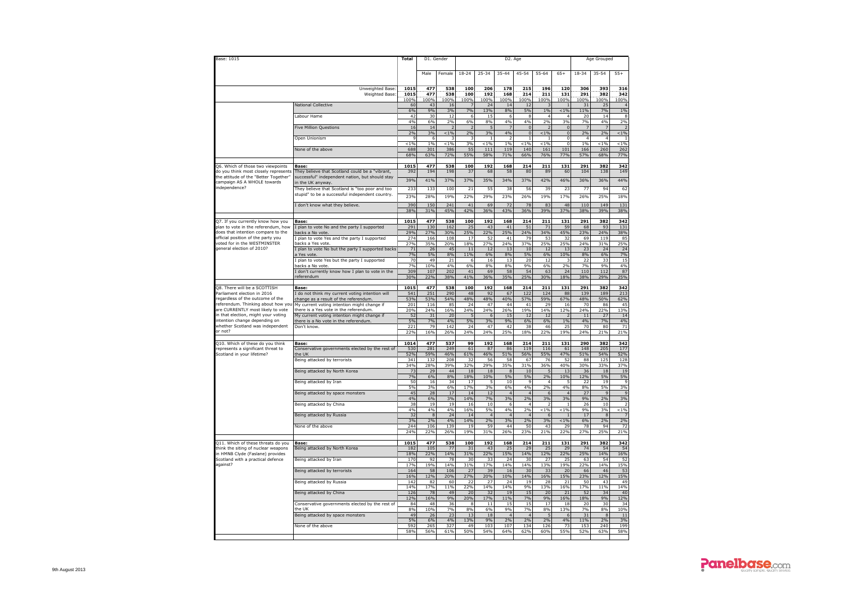| Base: 1015                                                                    |                                                                                                    | <b>Total</b>          | D1. Gender         |                   |                    |                      | D2. Age              |                               |                       |                       |                      | Age Grouped               |                    |
|-------------------------------------------------------------------------------|----------------------------------------------------------------------------------------------------|-----------------------|--------------------|-------------------|--------------------|----------------------|----------------------|-------------------------------|-----------------------|-----------------------|----------------------|---------------------------|--------------------|
|                                                                               |                                                                                                    |                       | Male               | Female            | $18 - 24$          | $25 - 34$            | $35 - 44$            | $45 - 54$                     | $55 - 64$             | $65+$                 | $18 - 34$            | 35-54                     | $55+$              |
|                                                                               | Unweighted Base<br><b>Weighted Base</b>                                                            | 1015<br>1015<br>100%  | 477<br>477<br>.00% | 538<br>538<br>00% | 100<br>100<br>100% | 206<br>192<br>00%    | 178<br>168<br>100%   | 215<br>214<br>LOO%            | 196<br>211<br>00%     | 120<br>131<br>00%     | 306<br>291<br>100%   | 393<br>382<br>.00%        | 316<br>342<br>100% |
|                                                                               | <b>National Collective</b>                                                                         | 60<br>6%              | 43<br>9%           | 16<br>3%          | -7<br>7%           | 24<br>13%            | 14<br>8%             | 12<br>5%                      | в<br>1%               | < 1%                  | 31<br>11%            | 25<br>7%                  | $\Delta$<br>1%     |
|                                                                               | Labour Hame                                                                                        | 47<br>4%              | 30<br>6%           | 12<br>2%          | 6<br>6%            | 15<br>8%             | 6<br>4%              | 8<br>4%                       | $\Delta$<br>2%        | 3%                    | 20<br>7%             | 14<br>4%                  | $\mathbf{R}$<br>2% |
|                                                                               | Five Million Questions                                                                             | 16<br>2%              | 14<br>3%           | $1\%$             | 2%                 | 3%                   | 4%                   | $\mathbf 0$<br>$\overline{0}$ | $1\%$                 | $\Omega$              | 2%                   | 2%                        | $< 1\%$            |
|                                                                               | Open Unionism                                                                                      | c<br>< 1%             | 6<br>1%            | $< 1\%$           | 3%                 | < 1%                 | $\overline{a}$<br>1% | $\mathbf{1}$<br>$< 1\%$       | < 1%                  | 0<br>$\circ$          | $\overline{4}$<br>1% | $\overline{4}$<br>$< 1\%$ | < 1%               |
|                                                                               | None of the above                                                                                  | 688<br>68%            | 301<br>63%         | 386<br>72%        | 55<br>55%          | 111<br>58%           | 119<br>71%           | 140<br>66%                    | 161<br>76%            | 101<br>77%            | 166<br>57%           | 260<br>68%                | 262<br>77%         |
| Q6. Which of those two viewpoints                                             | Base:                                                                                              | 1015                  | 477                | 538               | 100                | 192                  | 168                  | 214                           | 211                   | 131                   | 291                  | 382                       | 342                |
| do vou think most closely represents<br>the attitude of the "Better Together' | They believe that Scotland could be a "vibrant,<br>successful" independent nation, but should stay | 392                   | 194                | 198               | 37                 | 68                   | 58                   | 80                            | 89                    | 60                    | 104                  | 138                       | 149                |
| campaign AS A WHOLE towards<br>independence?                                  | in the UK anvway.<br>They believe that Scotland is "too poor and too                               | 39%<br>233            | 41%<br>133         | 37%<br>100        | 37%                | 35%                  | 34%                  | 37%<br>56                     | 42%                   | 46%                   | 36%<br>77            | 36%<br>94                 | 44%<br>62          |
|                                                                               | stupid" to be a successful independent country.                                                    | 23%                   | 28%                | 19%               | 21<br>22%          | 55<br>29%            | 38<br>23%            | 26%                           | 39<br><b>19%</b>      | 23<br>17%             | 26%                  | 25%                       | 18%                |
|                                                                               | I don't know what they believe.                                                                    | 390                   | 150<br>31%         | 241               | 41                 | 69                   | 72<br>43%            | 78                            | 83                    | 48<br>37%             | 110                  | 149                       | 131                |
|                                                                               |                                                                                                    | 38%                   |                    | 45%               | 42%                | 36%                  |                      | 36%                           | 39%                   |                       | 38%                  | 39%                       | 38%                |
| Q7. If you currently know how you<br>plan to vote in the referendum, how      | Base:<br>plan to vote No and the party I supported                                                 | 1015<br>291           | 477<br>130         | 538<br>162        | 100<br>25          | 192<br>43            | 168<br>41            | 214<br>51                     | 211<br>71             | 131<br>59             | 291<br>68            | 382<br>93                 | 342<br>131         |
| does that intention compare to the<br>official position of the party you      | backs a No vote.<br>I plan to vote Yes and the party I supported                                   | 29%<br>274            | 27%<br>166         | 30%<br>108        | 25%<br>17          | 22%<br>52            | 25%<br>41            | 24%<br>79                     | 34%<br>53             | 45%<br>32             | 23%<br>69            | 24%<br>119                | 38%<br>85          |
| voted for in the WESTMINSTER<br>general election of 2010?                     | backs a Yes vote.<br>I plan to vote No but the party I supported backs                             | 27%<br>71             | 35%<br>26          | <b>20%</b><br>45  | 18%<br>11          | 27%<br>12            | 24%<br>13            | 37%<br>10                     | 25%<br>12             | 25%<br>13             | 24%<br>23            | 31%<br>24                 | 25%<br>24          |
|                                                                               | Yes vote<br>plan to vote Yes but the party I supported                                             | 7%<br>70              | 5%<br>49           | 8%<br>21          | 11%<br>6           | 6%<br>16             | 8%<br>13             | 5%<br>20                      | 6%<br>$1\overline{2}$ | 10%                   | 8%<br>22             | 6%<br>33                  | 7%<br>15           |
|                                                                               | backs a No vote<br>I don't currently know how I plan to vote in the                                | 7%<br>309             | 10%<br>107         | 4%<br>202         | 6%<br>41           | 8%<br>69             | $R^{0/2}$<br>58      | 9%<br>54                      | 6%<br>63              | 70/<br>24             | 7%<br>110            | 9%<br>112                 | 4%                 |
|                                                                               | referendum                                                                                         | 30%                   | 22%                | 38%               | 41%                | 36%                  | 35%                  | 25%                           | 30%                   | 18%                   | 38%                  | 29%                       | 87<br>25%          |
| Q8. There will be a SCOTTISH                                                  | Base:                                                                                              | 1015                  | 477                | 538               | 100                | 192                  | 168                  | 214                           | 211                   | 131                   | 291                  | 382                       | 342                |
| Parliament election in 2016<br>regardless of the outcome of the               | I do not think my current voting intention will<br>change as a result of the referendum            | 541<br>53%            | 251<br>53%         | 290<br>54%        | 48<br>48%          | 92<br>48%            | 67<br>40%            | 122<br>57%                    | 124<br>59%            | 88<br>67%             | 139<br>48%           | 189<br>50%                | 213<br>62%         |
| referendum. Thinking about how yo<br>are CURRENTLY most likely to vote        | My current voting intention might change if<br>there is a Yes vote in the referendum               | 201<br>20%            | 116<br>24%         | 85<br>16%         | 24<br>24%          | 47<br>24%            | 44<br>26%            | 41<br>19%                     | 29<br>14%             | 16<br>12%             | 70<br>24%            | 86<br>22%                 | 45<br>13%          |
| in that election, might your voting<br>intention change depending on          | My current voting intention might change if<br>there is a No vote in the referendum                | 52<br>5%              | 31<br>7%           | 20<br>4%          | 5%                 | $\epsilon$<br>3%     | 15<br>9%             | 12<br>6%                      | 12<br>6%              | 1%                    | 11<br>4%             | 27<br>7%                  | 14<br>4%           |
| whether Scotland was independent<br>or not?                                   | Don't know.                                                                                        | 221<br>22%            | 79                 | 142               | 24                 | 47                   | 42                   | 38                            | 46                    | 25                    | 70                   | 80<br>21%                 | 71                 |
|                                                                               |                                                                                                    |                       | 16%                | 26%               | 24%                | 24%                  | 25%                  | 18%                           | 22%                   | 19%                   | 24%                  |                           | 21%                |
| Q10. Which of these do you think<br>represents a significant threat to        | <b>Base</b><br>Conservative governments elected by the rest of                                     | 1014<br>530           | 477<br>281         | 537<br>249        | 99<br>61           | 192<br>87            | 168<br>86            | 214<br>119                    | 211<br>116            | 131<br>61             | 290<br>148           | 382<br>205                | 342<br>177         |
| Scotland in your lifetime?                                                    | the UK<br>Being attacked by terrorists                                                             | 52%<br>341            | 59%<br>132         | 46%<br>208        | 61%<br>32          | 46%<br>56            | 51%<br>58            | 56%<br>67                     | 55%<br>76             | 47%<br>52             | 51%<br>88            | 54%<br>125                | 52%<br>128         |
|                                                                               | Being attacked by North Korea                                                                      | 34%<br>7 <sup>7</sup> | 28%<br>29          | 39%<br>44         | 32%<br>18          | 29%<br>18            | 35%<br>8             | 31%<br>10                     | 36%                   | 40%<br>13             | 30%<br>36            | 33%<br>18                 | 37%<br>19          |
|                                                                               | Being attacked by Iran                                                                             | 7%<br>50              | 6%<br>16           | 8%<br>34          | 18%<br>17          | 10%                  | 5%<br>10             | 5%<br>$\overline{9}$          | 2%<br>$\overline{4}$  | 10%                   | 12%<br>22            | 5%<br>19                  | 5%                 |
|                                                                               | Being attacked by space monsters                                                                   | 5%<br>45              | 3%<br>28           | 6%<br>17          | 17%<br>14          | 3%<br>12             | 6%<br>$\overline{a}$ | 4%<br>$\overline{4}$          | 2%                    | 4%                    | 8%<br>27             | 5%<br>q                   | 3%                 |
|                                                                               | Being attacked by China                                                                            | 4%<br>38              | 6%<br>19           | 3%<br>19          | 14%<br>16          | 7%<br>10             | 3%<br>6              | 2%<br>$\overline{4}$          | 3%<br>$\overline{z}$  | 3%                    | 9%<br>26             | 2%<br>10                  | 3%                 |
|                                                                               |                                                                                                    | 4%                    | 4%                 | 4%                | 16%                | 5%<br>$\overline{4}$ | 4%                   | 2%                            | $1\%$                 | 19                    | 9%                   | 3%                        | $1\%$              |
|                                                                               | Being attacked by Russia                                                                           | 32<br>3%              | 8<br>2%            | 24<br>4%          | 14<br>14%          | 2%                   | $\overline{4}$<br>3% | $\overline{4}$<br>2%          | 3%                    | 1%                    | 17<br>6%             | 8<br>2%                   | 2%                 |
|                                                                               | None of the above                                                                                  | 244<br>24%            | 106<br>22%         | 139<br>26%        | 19<br>19%          | 59<br>31%            | 44<br>26%            | 50<br>23%                     | 43<br>21%             | 29<br>22%             | 78<br>27%            | 94<br>25%                 | 72<br>21%          |
| Q11. Which of these threats do you                                            | Base:                                                                                              | 1015                  | 477                | 538               | 100                | 192                  | 168                  | 214                           | 211                   | 131                   | 291                  | 382                       | 342                |
| think the siting of nuclear weapons<br>in HMNB Clyde (Faslane) provides       | Being attacked by North Korea                                                                      | 182<br>18%            | 105<br>22%         | 77<br>14%         | 31<br>31%          | 43<br>22%            | 25<br>15%            | 29<br>14%                     | 25<br>12%             | 2 <sup>c</sup><br>22% | 74<br>25%            | 54<br>14%                 | 54<br>16%          |
| Scotland with a practical defence<br>against?                                 | Being attacked by Iran                                                                             | 170<br>17%            | 92<br>19%          | 78<br>14%         | 30<br>31%          | 33<br>17%            | 24<br>14%            | 30<br>14%                     | 27<br>13%             | 25<br>19%             | 63<br>22%            | 54<br>14%                 | 52<br>15%          |
|                                                                               | Being attacked by terrorists                                                                       | 164<br>16%            | 58<br>12%          | 106<br>20%        | 27<br>27%          | 39<br>20%            | 16<br>10%            | 30<br>14%                     | 33<br>16%             | 20<br>15%             | 66<br>23%            | 46<br>12%                 | 53<br>15%          |
|                                                                               | Being attacked by Russia                                                                           | 142<br>14%            | 82<br>17%          | 60<br>11%         | 22<br>22%          | 27<br>14%            | 24<br>14%            | 19<br>9%                      | 28<br>13%             | 21<br>16%             | 50<br>17%            | 43<br>11%                 | 49<br>14%          |
|                                                                               | Being attacked by China                                                                            | 126                   | 78                 | 49                | 20                 | 32                   | 19                   | 15                            | 20                    | 21                    | 52                   | 34                        | 40                 |
|                                                                               | Conservative governments elected by the rest of                                                    | 12%<br>84             | 16%<br>48          | 9%<br>36          | 20%<br>8           | 17%<br>11            | 11%<br>15            | 7%<br>15                      | 9%<br>17              | 16%<br>18             | 18%<br>20            | 9%<br>30                  | 12%<br>34          |
|                                                                               | the UK<br>Being attacked by space monsters                                                         | 8%<br>49              | 10%<br>26          | 7%<br>23          | 8%<br>13           | 6%<br>18             | 9%<br>$\overline{4}$ | 7%<br>$\overline{4}$          | 8%                    | 13%                   | 7%<br>31             | 8%<br>$\mathbf{8}$        | 10%<br>11          |
|                                                                               | None of the above                                                                                  | 5%<br>592             | 6%<br>265          | 4%<br>327         | 13%<br>49          | 9%<br>103            | 2%<br>107            | 7%<br>134                     | 2%<br>126             | 4%<br>73              | 11%<br>153           | 2%<br>240                 | 3%<br>199          |
|                                                                               |                                                                                                    | 58%                   | 56%                | 61%               | 50%                | 54%                  | 64%                  | 62%                           | 60%                   | 55%                   | 52%                  | 63%                       | 58%                |

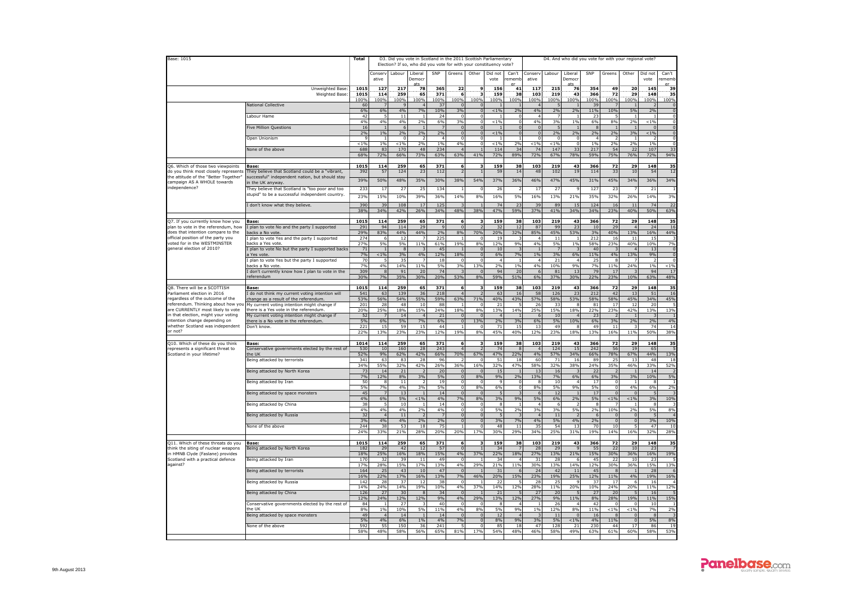| Base: 1015                                                                    |                                                                                                    | Total            |                      | D3. Did you vote in Scotland in the 2011 Scottish Parliamentary<br>Election? If so, who did you vote for with your constituency vote? |                      |                 |                                |                               |                           |                      |                         |                      |                      |            | D4. And who did you vote for with your regional vote? |                            |                                |                  |
|-------------------------------------------------------------------------------|----------------------------------------------------------------------------------------------------|------------------|----------------------|---------------------------------------------------------------------------------------------------------------------------------------|----------------------|-----------------|--------------------------------|-------------------------------|---------------------------|----------------------|-------------------------|----------------------|----------------------|------------|-------------------------------------------------------|----------------------------|--------------------------------|------------------|
|                                                                               |                                                                                                    |                  | Conserv<br>ative     | Labour                                                                                                                                | Liberal<br>Democi    | SNP             | Greens                         | Other                         | Did not<br>vote           | Can't<br>emem        | Conserv<br>ative        | Labour               | Liberal<br>Democr    | SNP        | Greens                                                | Other                      | Did not<br>vote                | Can't<br>ememl   |
|                                                                               | Unweighted Base<br>Weighted Base                                                                   | 1015<br>1015     | 127<br>114           | 217<br>259                                                                                                                            | 78<br>65             | 365<br>371      | 22<br>6                        | ٩                             | 156<br>159                | 41<br>38             | 117<br>103              | 215<br>219           | 76<br>43             | 354<br>366 | 49<br>72                                              | 20<br>29                   | 145<br>148                     | 39<br>35         |
|                                                                               | <b>National Collective</b>                                                                         | 100%<br>60       | 100%                 | 100%<br>9                                                                                                                             | 100%                 | 100%<br>37      | 100%<br>$\mathbf 0$            | 100%                          | 100%                      | 100%                 | 100%<br>$\overline{a}$  | 100%<br>5            | 100%                 | 100%<br>39 | 100%                                                  | 100%                       | 100%<br>$\overline{2}$         | 100%             |
|                                                                               | Labour Hame                                                                                        | 6%<br>42         | 6%                   | 4%<br>$11\,$                                                                                                                          | 7%                   | 10%<br>24       | 3%<br>$^{\circ}$               | $\Omega$<br>$\overline{0}$    | $< 1\%$                   | 2%                   | 4%<br>$\overline{4}$    | 2%<br>7              | 2%                   | 11%<br>23  | 10%                                                   | 5%                         | 2%<br>$1\,$                    |                  |
|                                                                               | <b>Five Million Questions</b>                                                                      | 4%<br>16         | 4%<br>$\blacksquare$ | 4%<br>6                                                                                                                               | 2 <sup>0</sup>       | $\frac{6\%}{7}$ | 3%<br>$\Omega$                 | $\Omega$                      | $< 1\%$<br>$\overline{1}$ |                      | 4%<br>$\overline{0}$    | 3%<br>-5             | 1%<br>$\overline{1}$ | 6%<br>-8   | 8%                                                    | 2%<br>$\overline{1}$       | $< 1\%$<br>$\Omega$            |                  |
|                                                                               |                                                                                                    | 2%               | 1%                   | 2%                                                                                                                                    | 2%                   | 2%              | $\overline{0}$                 |                               | $< 1\%$                   |                      | $\overline{0}$          | 2%                   | 2%                   | 2%         | 2%                                                    | 3%                         | $< 1\%$                        |                  |
|                                                                               | Open Unionism                                                                                      | < 1%             | 1%                   | $\Omega$<br>< 1%                                                                                                                      | 2%                   | 4<br>1%         | $\Omega$<br>4%                 |                               | < 1%                      | 29                   | $\Omega$<br>< 1%        | $\Omega$<br>< 1%     | $\Omega$             | 1%         | 2%                                                    | 7%                         | $\overline{\phantom{a}}$<br>1% |                  |
|                                                                               | None of the above                                                                                  | 688<br>68%       | 83<br>72%            | 170<br>66%                                                                                                                            | 48<br>73%            | 234<br>63%      | $\overline{4}$<br>63%          | 41%                           | 114<br>72%                | 34<br>89%            | 74<br>72%               | 147<br>67%           | 33<br>78%            | 217<br>59% | 54<br>75%                                             | 22<br>76%                  | 107<br>72%                     | 33<br>94%        |
| Q6. Which of those two viewpoints                                             | Base:                                                                                              | 1015             | 114                  | 259                                                                                                                                   | 65                   | 371             | 6                              | в                             | 159                       | 38                   | 103                     | 219                  | 43                   | 366        | 72                                                    | 29                         | 148                            | 35               |
| do you think most closely represents<br>the attitude of the "Better Together" | They believe that Scotland could be a "vibrant,<br>successful" independent nation, but should stay | 392              | 57                   | 124                                                                                                                                   | 23                   | 112             | $\overline{2}$                 |                               | 59                        | 14                   | 48                      | 102                  | 19                   | 114        | 33                                                    | 10                         | 54                             | 12               |
| campaign AS A WHOLE towards<br>independence?                                  | n the UK anyway<br>They believe that Scotland is "too poor and too                                 | 39%<br>233       | 50%<br>17            | 48%<br>27                                                                                                                             | 35%<br>- 25          | 30%<br>134      | 38%<br>$\mathbf{1}$            | 54%<br>c                      | 37%<br>26                 | 36%                  | 46%<br>17               | 47%<br>27            | 45%                  | 31%<br>127 | 45%<br>-23                                            | 34%                        | 36%<br>21                      | 34%              |
|                                                                               | stupid" to be a successful independent country.                                                    | 23%              | 15%                  | 10%                                                                                                                                   | 39%                  | 36%             | 14%                            | 8%                            | 16%                       | 5%                   | 16%                     | 13%                  | 21%                  | 35%        | 32%                                                   | 26%                        | 14%                            | 3%               |
|                                                                               | I don't know what they believe.                                                                    | 390<br>38%       | 39<br>34%            | 108<br>42%                                                                                                                            | 17<br>26%            | 125<br>34%      | 3<br>48%                       | 38%                           | 74<br>47%                 | $\mathcal{L}$<br>59% | 39<br>37%               | 89<br>41%            | 15<br>34%            | 124<br>34% | 16<br>23%                                             | 11<br>40%                  | 74<br>50%                      | 22<br>63%        |
|                                                                               |                                                                                                    | 1015             |                      | 259                                                                                                                                   |                      | 371             | 6                              |                               |                           |                      | 103                     | 219                  | 43                   |            | 72                                                    |                            |                                | 35               |
| Q7. If you currently know how you<br>plan to vote in the referendum, how      | Base:<br>I plan to vote No and the party I supported                                               | 29:              | 114<br>94            | 114                                                                                                                                   | 65<br>$\overline{z}$ |                 | $\Omega$                       |                               | 159                       | 38<br>$\mathbf{1}$   | 87                      | 99                   | 23                   | 366<br>10  | $\overline{2}$                                        | 29<br>$\overline{a}$       | 148<br>24                      | 16               |
| does that intention compare to the<br>official position of the party you      | backs a No vote.<br>plan to vote Yes and the party I supported                                     | 29%<br>274       | 83%                  | 44%<br>12                                                                                                                             | 44%                  | 2%<br>225       | 8%                             | 70%                           | 20%<br>19                 | 32%                  | 85%                     | 45%<br>11            | 53%                  | 3%<br>212  | 40%<br>16                                             | 13%<br>11                  | 16%<br>15                      | 44%              |
| voted for in the WESTMINSTER<br>general election of 2010?                     | backs a Yes vote<br>plan to vote No but the party I supported backs                                | <b>27%</b><br>71 | 5%                   | 5%<br>8                                                                                                                               | 11%                  | 61%<br>45       | 19%<br>$\overline{1}$          | 8%<br>$\epsilon$              | 12%<br>10                 | 9%                   | 4%<br>-1                | 5%<br>$\overline{7}$ | 1%                   | 58%<br>40  | 23%                                                   | 40%<br>$\sqrt{ }$          | 10%<br>13                      | 7%<br>$\sqrt{ }$ |
|                                                                               | a Yes vote<br>I plan to vote Yes but the party I supported                                         | 7%<br>70         | $< 1\%$<br>-5        | 3%<br>35                                                                                                                              | 4%                   | 12%<br>18       | 18%<br>$\Omega$                | $\Omega$                      | 6%<br>$\overline{a}$      | 7%                   | $1\%$<br>$\overline{4}$ | 3%<br>21             | 6%<br>$\overline{4}$ | 11%<br>25  | 4%<br>-8                                              | 13%<br>-7                  | 9%<br>$\overline{z}$           | $\Omega$         |
|                                                                               | backs a No vote<br>I don't currently know how I plan to vote in the                                | 7%<br>309        | 4%<br>8              | 14%<br>91                                                                                                                             | 11%<br>20            | 5%<br>74        | 3%                             | 13%<br>$\Omega$               | 2%<br>94                  | 1%<br>20             | 4%<br>$\epsilon$        | 10%<br>81            | 9%<br>13             | 7%<br>79   | 11%<br>17                                             | 24%                        | 1%<br>94                       | $< 1\%$<br>17    |
|                                                                               | eferendur                                                                                          | 30%              | 7%                   | 35%                                                                                                                                   | 30%                  | 20%             | 53%                            | 8%                            | 59%                       | 51%                  | 6%                      | 37%                  | 30%                  | 22%        | 23%                                                   | 10%                        | 63%                            | 48%              |
| Q8. There will be a SCOTTISH<br>arliament election in 2016                    | Base:<br>do not think my current voting intention will                                             | 1015<br>541      | 114<br>63            | 259<br>139                                                                                                                            | 65<br>36             | 371<br>218      | 6<br>$\overline{4}$            | з                             | 159<br>63                 | 38<br>16             | 103<br>58               | 219<br>126           | 43<br>23             | 366<br>212 | 72<br>4 <sub>2</sub>                                  | 29<br>13                   | 148<br>51                      | 35<br>16         |
| regardless of the outcome of the                                              | change as a result of the referendum                                                               | 53%              | 56%                  | 54%                                                                                                                                   | 55%                  | 59%             | 63%                            | 71%                           | 40%                       | 43%                  | 57%                     | 58%                  | 53%                  | 58%        | 58%                                                   | 45%                        | 34%                            | 45%              |
| referendum. Thinking about how you<br>are CURRENTLY most likely to vote       | My current voting intention might change if<br>there is a Yes vote in the referendum.              | 201<br>20%       | 28<br>25%            | 48<br>18%                                                                                                                             | 10<br>15%            | 88<br>24%       | 18%                            | 8%                            | 21<br>13%                 | 14%                  | 26<br>25%               | 33<br>15%            | Æ<br>18%             | 81<br>22%  | 17<br>23%                                             | 12<br>42%                  | 20<br>13%                      | 13%              |
| in that election, might your voting<br>intention change depending on          | My current voting intention might change if<br>there is a No vote in the referendum.               | 52<br>5%         | 6%                   | 14<br>5%                                                                                                                              | 7%                   | 21<br>6%        | $\Omega$<br>$\mathbf 0$        | $\sqrt{ }$<br>13%             | 2%                        | 3%                   | -6<br>6%                | 10<br>5%             | 10%                  | 23<br>6%   | 3%                                                    | 2%                         | 2%                             | 4%               |
| whether Scotland was independent<br>or not?                                   | Don't know.                                                                                        | 221<br>22%       | 15<br>13%            | 59<br>23%                                                                                                                             | 15<br>23%            | 44<br>12%       | $\mathbf 1$<br>19%             | $\overline{0}$<br>8%          | 71<br>45%                 | 15<br>40%            | 13<br>12%               | 49<br>23%            | -8<br>18%            | 49<br>13%  | 11<br>16%                                             | 3<br>11%                   | 74<br>50%                      | 14<br>38%        |
| Q10. Which of these do you think                                              | Base:                                                                                              | 1014             | 114                  | 259                                                                                                                                   | 65                   | 371             | 6                              | в                             | 159                       | 38                   | 103                     | 219                  | 43                   | 366        | 72                                                    | 29                         | 148                            | 35               |
| represents a significant threat to<br>Scotland in your lifetime?              | Conservative governments elected by the rest of<br>the UK                                          | 530<br>52%       | 10<br>9%             | 160<br>62%                                                                                                                            | 28<br>42%            | 243<br>66%      | $\overline{4}$<br>70%          | 67%                           | 74<br>47%                 | 22%                  | 4%                      | 124<br>57%           | 15<br>34%            | 242<br>66% | 56<br>78%                                             | 19<br>67%                  | 65<br>44%                      | 13%              |
|                                                                               | Being attacked by terrorists                                                                       | 341<br>34%       | 63<br>55%            | 83<br>32%                                                                                                                             | 28<br>42%            | 96<br>26%       | 36%                            | 16%                           | 51<br>32%                 | $\mathbf{1}$<br>47%  | 60<br>58%               | 71<br>32%            | 16<br>38%            | 89<br>24%  | 25<br>35%                                             | 13<br>46%                  | 48<br>33%                      | 18<br>52%        |
|                                                                               | Being attacked by North Korea                                                                      | 73<br>7%         | 14<br>12%            | 21<br>8%                                                                                                                              | 3%                   | 20<br>5%        | $\mathbf{0}$<br>$\overline{0}$ | 8%                            | 15<br>9%                  | 2%                   | 13<br>13%               | 16<br>7%             | 6%                   | 22<br>6%   | 3%                                                    | 3%                         | 14<br>10%                      | 5%               |
|                                                                               | Being attacked by Iran                                                                             | 50               | -8                   | 11                                                                                                                                    |                      | 19              | $^{\circ}$                     | $\Omega$                      | -9                        |                      | -8                      | 10                   | $\Delta$             | 17         | $\Omega$                                              | $\overline{1}$             | 8                              |                  |
|                                                                               | Being attacked by space monsters                                                                   | 5%<br>45         | 7%<br>$\overline{z}$ | 4%<br>13                                                                                                                              | 3%                   | 5%<br>14        | $\Omega$<br>$\Omega$           | 8%<br>$\sqrt{2}$              | 6%<br>$\overline{a}$      |                      | 8%<br>-6                | 5%<br>12             | 9%<br>$\overline{1}$ | 5%<br>17   | $\sqrt{2}$                                            | 4%<br>$\sqrt{2}$           | 6%<br>$\overline{a}$           | 2%               |
|                                                                               | Being attacked by China                                                                            | 4%<br>38         | 6%                   | 5%<br>10                                                                                                                              | < 1%                 | 4%<br>14        | 7%<br>0                        | 8%                            | 3%<br>8                   | 9%                   | 5%<br>$\overline{4}$    | 6%<br>6              | 2%                   | 5%<br>8    | $< 1\%$                                               | $< 1\%$                    | 3%<br>8                        | 10%              |
|                                                                               | Being attacked by Russia                                                                           | 4%<br>32         | 4%                   | 4%<br>11                                                                                                                              | 2%                   | 4%              | $\mathbf 0$<br>$\overline{0}$  | $\Omega$<br>$\Omega$          | 5%                        | 2%                   | 3%<br>$\overline{4}$    | 3%<br>11             | 5%                   | 2%         | 10%                                                   | 2%<br>$\Omega$             | 5%                             | 8%               |
|                                                                               | None of the above                                                                                  | 3%<br>244        | 4%<br>38             | 4%<br>53                                                                                                                              | 2%<br>18             | 2%<br>75        | $\overline{0}$                 | $\overline{0}$<br>$^{\circ}$  | 3%<br>48                  | 7%<br>$\mathbf{1}$   | 4%<br>35                | 5%<br>54             | 4%<br>13             | 2%<br>70   | 0 <br>10                                              | $\overline{\phantom{0}}$   | 3%<br>47                       | 10%<br>10        |
|                                                                               |                                                                                                    | 24%              | 33%                  | 21%                                                                                                                                   | 28%                  | 20%             | 20%                            | 17%                           | 30%                       | 29%                  | 34%                     | 25%                  | 31%                  | 19%        | 14%                                                   | 16%                        | 32%                            | 28%              |
| 011. Which of these threats do you<br>think the siting of nuclear weapons     | Base:<br>Being attacked by North Korea                                                             | 1015<br>182      | 114<br>29            | 259<br>42                                                                                                                             | 65<br>12             | 371<br>57       | 6<br>$\Omega$                  |                               | 159<br>34                 | 38                   | 103<br>28               | 219<br>29            | 43<br>$\mathbf{q}$   | 366<br>55  | 72<br>22                                              | 29<br>10                   | 148<br>23                      | 35               |
| in HMNB Clyde (Faslane) provides<br>Scotland with a practical defence         | Being attacked by Iran                                                                             | 18%<br>170       | 25%<br>32            | 16%<br>39                                                                                                                             | 18%<br>11            | 15%<br>49       | 4%<br>$\Omega$                 | 37%                           | 22%<br>-34                | 18%                  | 27%<br>31               | 13%<br>28            | 21%<br>-6            | 15%<br>-45 | 30%<br>- 22                                           | 36%<br>10                  | 16%<br>23                      | 19%              |
| against?                                                                      |                                                                                                    | 17%<br>164       | 28%<br>25            | 15%<br>43                                                                                                                             | 17%<br>10            | 13%<br>47       | 4%<br>$\Omega$                 | 29%                           | 21%<br>31                 | 119                  | 30%<br>24               | 13%<br>42            | 14%<br>11            | 12%<br>45  | 30%                                                   | 36%                        | 15%<br>28                      | 13%              |
|                                                                               | Being attacked by terrorists                                                                       | 16%              | 22%                  | 17%                                                                                                                                   | 16%                  | 13%             | 7%                             | 46%                           | 20%                       | 15%                  | 23%                     | 19%                  | 25%                  | 12%        | 11%                                                   | 4%                         | 19%                            | 16%              |
|                                                                               | Being attacked by Russia                                                                           | 142<br>14%       | 28<br>24%            | 14%                                                                                                                                   | $\mathbf{1}$<br>19%  | 38<br>10%       | 0<br>4%                        | 37%                           | 22<br>14%                 | 12%                  | 28<br>28%               | 25<br>11%            | 20%                  | 3<br>10%   | $\mathbf{1}$<br>24%                                   | 20%                        | 16<br>11%                      | 12%              |
|                                                                               | Being attacked by China                                                                            | 126<br>12%       | 27<br>24%            | 30<br>12%                                                                                                                             | 12%                  | 34<br>9%        | $\overline{0}$<br>4%           | 29%                           | 21<br>13%                 | 12%                  | 27<br>27%               | 20<br>9%             | 11%                  | 27<br>8%   | 2C<br>28%                                             | 19%                        | 16<br>11%                      | 15%              |
|                                                                               | Conservative governments elected by the rest of<br>the UK                                          | 84<br>8%         | $1\%$                | 27<br>10%                                                                                                                             | 5%                   | 40<br>11%       | $\mathbf 0$<br>4%              | 8%                            | 5%                        | 9%                   | - 1<br>1%               | 26<br>12%            | $\Delta$<br>8%       | 42<br>11%  | < 1%                                                  | $< 1\%$                    | 10<br>7%                       | 2%               |
|                                                                               | Being attacked by space monsters                                                                   | 49<br>5%         | $\mathbf{A}$<br>4%   | 14<br>6%                                                                                                                              | 1%                   | 14<br>4%        | $\overline{0}$<br>7%           | $\mathbf 0$<br>$\overline{0}$ | 12<br>8%                  | 9%                   | 3%                      | $11\,$<br>5%         | $\Omega$<br>$< 1\%$  | 16<br>4%   | 11%                                                   | $\Omega$<br>$\overline{0}$ | 8<br>5%                        | 8%               |
|                                                                               | None of the above                                                                                  | 592<br>58%       | 55<br>48%            | 150<br>58%                                                                                                                            | 36<br>56%            | 241<br>65%      | 5<br>81%                       | $\Omega$<br>17%               | 85<br>54%                 | 18<br>48%            | 47<br>46%               | 128<br>58%           | 21<br>49%            | 230<br>63% | 44<br>61%                                             | 17<br>60%                  | 86<br>58%                      | 19<br>53%        |
|                                                                               |                                                                                                    |                  |                      |                                                                                                                                       |                      |                 |                                |                               |                           |                      |                         |                      |                      |            |                                                       |                            |                                |                  |

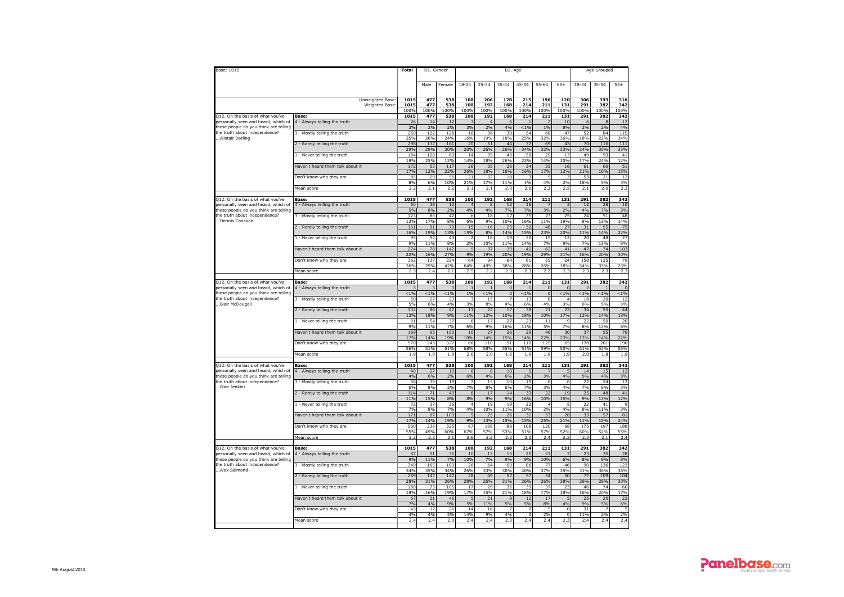| Base: 1015                                                                   |                                             | <b>Total</b>                    | D1. Gender         |                        |                               |                      |                      | D2. Age                                |                               |                           |                    | Age Grouped           |                     |
|------------------------------------------------------------------------------|---------------------------------------------|---------------------------------|--------------------|------------------------|-------------------------------|----------------------|----------------------|----------------------------------------|-------------------------------|---------------------------|--------------------|-----------------------|---------------------|
|                                                                              |                                             |                                 | Male               | Female                 | $18 - 24$                     | $25 - 34$            | $35 - 44$            | $45 - 54$                              | $55 - 64$                     | $65+$                     | $18 - 34$          | 35-54                 | $55+$               |
|                                                                              | Unweighted Base<br>Weighted Base            | 1015<br>1015<br>100%            | 477<br>477<br>100% | 538<br>538<br>100%     | 100<br>100<br>100%            | 206<br>192<br>100%   | 178<br>168<br>100%   | 215<br>214<br>100%                     | 196<br>211<br>100%            | 120<br>131<br>100%        | 306<br>291<br>100% | 393<br>382<br>100%    | 316<br>342<br>100%  |
| Q12. On the basis of what you've                                             | Base:                                       | 1015                            | 477                | 538                    | 100                           | 192                  | 168                  | 214                                    | 211                           | 131                       | 291                | 382                   | 342                 |
| personally seen and heard, which of<br>these people do you think are telling | 4 - Always telling the truth                | 26<br>3%                        | 14<br>3%           | 12<br>2%               | 3%                            | $\overline{a}$<br>2% | 6<br>4%              | $< 1\%$                                | 1%                            | 10<br>8%                  | 6<br>2%            | $\mathbf{R}$<br>2%    | 12<br>4%            |
| the truth about independence?<br>Alistair Darling                            | 3 - Mostly telling the truth                | 250<br>25%                      | 122<br>26%         | 128<br>24%             | 16<br>16%                     | 36<br>19%            | 30<br>18%            | 54<br>25%                              | 68<br>32%                     | 47<br>36%                 | 52<br>18%          | 84<br>22%             | 115<br>34%          |
|                                                                              | 2 - Rarely telling the truth                | 298<br>29%                      | 137<br>29%         | 161<br>30%             | 20<br>20%                     | 51<br>26%            | 44<br>26%            | 72<br>34%                              | 69<br>32%                     | 43<br>33%                 | 70<br>24%          | 116<br>30%            | 111<br>33%          |
|                                                                              | 1 - Never telling the truth                 | 184<br>18%                      | 120<br>25%         | 63<br><b>12%</b>       | 14<br>14%                     | 35<br>18%            | 43<br>26%            | 50<br>23%                              | 29<br>14%                     | 13<br>10%                 | 49<br>17%          | 93<br>24%             | 41<br>12%           |
|                                                                              | Haven't heard them talk about it            | 172<br>17%                      | 55<br>12%          | 117<br>22%             | 26<br>26%                     | 35<br>18%            | 26<br>16%            | 34<br>16%                              | 35<br>17%                     | 16<br>12%                 | 61<br>21%          | 60<br>16%             | 51<br>15%           |
|                                                                              | Don't know who they are                     | 85<br>8%                        | 29<br>6%           | 56<br>10%              | 21<br>21%                     | 32<br>17%            | 18<br>11%            | -3<br>1%                               | $\overline{9}$<br>4%          | 2%                        | 53<br>18%          | 21<br>5%              | 12<br>3%            |
|                                                                              | Mean score                                  | 2.2                             | 2.1                | 2.2                    | 2.1                           | 2.1                  | 2.0                  | 2.0                                    | 2.3                           | 2.5                       | 2.1                | 2.0                   | 2.3                 |
| Q12. On the basis of what you've                                             | Base:                                       | 1015                            | 477                | 538                    | 100                           | 192                  | 168                  | 214                                    | 211                           | 131                       | 291                | 382                   | 342                 |
| personally seen and heard, which of<br>these people do you think are telling | 4 - Always telling the truth                | 50<br>5%                        | 38<br>8%           | 12<br>2%               | $\overline{4}$<br>4%          | $\mathbf{g}$<br>4%   | 12<br>7%             | 16<br>7%                               | 3%                            | 2%                        | 12<br>4%           | 28<br>7%              | 10<br>3%            |
| the truth about independence?<br>Dennis Canavan                              | 3 - Mostly telling the truth                | 123                             | 80                 | 42                     | $\,6\,$                       | 18                   | 17                   | 35                                     | 23                            | 25                        | 24                 | 51                    | 48                  |
|                                                                              | 2 - Rarely telling the truth                | 12%<br>161                      | 17%<br>91          | 8%<br>$\overline{70}$  | 6%<br>15                      | 9%<br>16             | 10%<br>23            | 16%<br>32                              | 11%<br>48                     | 19%<br>$\overline{27}$    | 8%<br>31           | 13%<br>55             | 14%<br>75           |
|                                                                              | 1 - Never telling the truth                 | 16%<br>95                       | 19%<br>52          | 13%<br>43              | 15%<br>$\overline{2}$         | 8%<br>18             | 14%<br>19            | 15%<br>30                              | 23%<br>15                     | 20%<br>12                 | 11%<br>20          | 14%<br>48             | 22%<br>27           |
|                                                                              |                                             | 9%                              | 11%                | 8%                     | 2%                            | 10%                  | 11%                  | 14%                                    | 7%                            | 9%                        | 7%                 | 13%                   | 8%                  |
|                                                                              | Haven't heard them talk about it            | 224<br>22%                      | 78<br>16%          | 147<br>27%             | $\mathbf{q}$<br>9%            | 37<br>19%            | 33<br>20%            | 41<br>19%                              | 62<br>29%                     | 41<br>31%                 | 47<br>16%          | 74<br>20%             | 103<br>30%          |
|                                                                              | Don't know who they are                     | 362                             | 137                | 224                    | 64<br>64%                     | 94<br>49%            | 64<br>38%            | 61                                     | 55                            | 24<br>18%                 | 158                | 125                   | 79<br>23%           |
|                                                                              | Mean score                                  | 36%<br>2.                       | 29%<br>2.4         | 42%<br>2.1             | 2.5                           | 2.2                  | 2.3                  | 28%<br>2.3                             | 26%<br>2.2                    | 2.3                       | 54%<br>2.3         | 33%<br>2.3            | 2.3                 |
| Q12. On the basis of what you've                                             | Base:                                       | 1015                            | 477                | 538                    | 100                           | 192                  | 168                  | 214                                    | 211                           | 131                       | 291                | 382                   | 342                 |
| personally seen and heard, which of<br>these people do vou think are telling | 4 - Always telling the truth                | < 1%                            | $< 1\%$            | $\mathbf 0$<br>$< 1\%$ | 1%                            | < 1%                 | $\Omega$<br>$\Omega$ | < 1 %                                  | $\pmb{0}$<br>$\overline{0}$   | $\Omega$<br>$< 1\%$       | $< 1\%$            | $\mathbf{1}$<br>< 1 % | $\Omega$<br>$< 1\%$ |
| the truth about independence?<br>Blair McDougall                             | 3 - Mostly telling the truth                | 50<br>5%                        | 27<br>6%           | 23<br>4%               | $\overline{\mathbf{3}}$<br>3% | 15<br>8%             | $\overline{7}$<br>4% | 13<br>6%                               | $\overline{\mathbf{8}}$<br>4% | $\Delta$<br>3%            | 18<br>6%           | 20<br>5%              | 12<br>3%            |
|                                                                              | 2 - Rarely telling the truth                | 132                             | 86                 | 47<br>9%               | $11\,$<br>11%                 | 22                   | 17<br>10%            | 38                                     | 21                            | 22<br>17%                 | 34<br>12%          | 55<br>14%             | 44<br>13%           |
|                                                                              | 1 - Never telling the truth                 | 13%<br>91                       | 18%<br>54          | 37                     | 6                             | 12%<br>17            | 27                   | 18%<br>23                              | 10%<br>11                     | 9                         | 22                 | 50                    | 20                  |
|                                                                              | Haven't heard them talk about it            | 9%<br>169                       | 11%<br>65          | 7%<br>103              | 6%<br>10                      | 9%<br>27             | 16%<br>26            | 11%<br>29                              | 5%<br>46                      | 7%<br>30                  | 8%<br>37           | 13%<br>55             | 6%<br>76            |
|                                                                              | Don't know who they are                     | 17%<br>570                      | 14%<br>243         | 19%<br>327             | 10%<br>68                     | 14%<br>110           | 15%<br>91            | 14%<br>110                             | 22%<br>125                    | 23%<br>65                 | 13%<br>178         | 14%<br>201            | 22%<br>190          |
|                                                                              | Mean score                                  | 56%<br>1.9                      | 51%<br>1.9         | 61%<br>1.9             | 68%<br>2.0                    | 58%<br>2.0           | 55%<br>1.6           | 51%<br>1.9                             | 59%<br>1.9                    | 50%<br>1.9                | 61%<br>2.0         | 53%<br>1.8            | 56%<br>1.9          |
| Q12. On the basis of what you've                                             | Base:                                       | 1015                            | 477                | 538                    | 100                           | 192                  | 168                  | 214                                    | 211                           | 131                       | 291                | 382                   | 342                 |
| personally seen and heard, which of<br>these people do you think are telling | 4 - Always telling the truth                | 40<br>4%                        | 27                 | 13                     | 6                             | $\mathbf{8}$<br>4%   | 10                   | -5<br>2%                               | 7<br>3%                       | 5<br>4%                   | 14                 | 15<br>4%              | 12                  |
| the truth about independence?                                                | 3 - Mostly telling the truth                | 58                              | 6%<br>39           | 2%<br>19               | $6\%$<br>$\overline{7}$       | 15                   | 6%<br>$10$           | 15                                     | 6                             | 6                         | 5%<br>22           | 24                    | 3%<br>12            |
| Blair Jenkins                                                                | 2 - Rarely telling the truth                | 6%<br>114                       | 8%<br>71           | 3%<br>43               | 7%<br>8                       | 8%<br>17             | 6%<br>14             | 7%<br>33                               | 3%<br>22                      | 4%<br>19                  | 7%<br>25           | 6%<br>48              | 3%<br>41            |
|                                                                              | 1 - Never telling the truth                 | 11%<br>72                       | <b>15%</b><br>37   | 8%<br>35               | 8%<br>$\overline{4}$          | 9%<br>19             | 9%<br>19             | 16%<br>22                              | 10%<br>$\overline{4}$         | 15%                       | 9%<br>22           | 13%<br>41             | 12%<br>q            |
|                                                                              | Haven't heard them talk about it            | 7%<br>171                       | 8%<br>67           | 7%<br>103              | 4%<br>$\overline{q}$          | 10%<br>25            | 11%<br>26            | 10%<br>31                              | 2%<br>53                      | 4%<br>28                  | 8%<br>33           | 11%<br>57             | 3%<br>81            |
|                                                                              | Don't know who they are                     | 17%<br>560                      | 14%<br>236         | 19%<br>325             | 9%<br>67                      | 13%<br>108           | 15%<br>88            | 15%<br>108                             | 25%<br>120                    | 21%<br>68                 | 11%<br>175         | 15%<br>197            | 24%<br>188          |
|                                                                              | Mean score                                  | 55%<br>$\overline{\phantom{a}}$ | 49%<br>2.3         | 60%<br>2.1             | 67%<br>2.6                    | 57%<br>2.2           | 53%<br>77            | 51%<br>2.0                             | 57%<br>2.4                    | 52%<br>2.3                | 60%<br>2.3         | 52%<br>2.1            | 55%<br>2.4          |
|                                                                              |                                             |                                 |                    |                        |                               |                      |                      |                                        |                               |                           |                    |                       |                     |
| Q12. On the basis of what you've<br>personally seen and heard, which of      | <b>Base</b><br>4 - Always telling the truth | 1015<br>87                      | 477<br>51          | 538<br>36              | 100<br>10                     | 192<br>13            | 168<br>15            | 214<br>20                              | 211<br>2:                     | 131                       | 291<br>23          | 382<br>35             | 342<br>28           |
| these people do you think are telling<br>the truth about independence?       | 3 - Mostly telling the truth                | 9%<br>349                       | 11%<br>165         | 7%<br>183              | 10%<br>26                     | 7%<br>64             | 9%<br>50             | 9%<br>86                               | 10%<br>77                     | 6%<br>46                  | 8%<br>90           | 9%<br>136             | 8%<br>123           |
| Alex Salmond                                                                 | 2 - Rarely telling the truth                | 34%<br>289                      | 35%<br>147         | 34%<br>142             | 26%<br>28                     | 33%<br>49            | 30%<br>52            | 40%<br>57                              | 37%<br>54                     | 35%<br>50                 | 31%<br>77          | 36%<br>109            | 36%<br>104          |
|                                                                              | 1 - Never telling the truth                 | 28%<br>180                      | 31%<br>75          | 26%<br>105             | 28%<br>17                     | 25%<br>29            | 31%<br>35            | 26%<br>39                              | 26%<br>37                     | 38%<br>23                 | 26%<br>46          | 28%<br>74             | 30%<br>60           |
|                                                                              |                                             | 18%                             | 16%                | 19%                    | 17%                           | 15%                  | 21%                  | 18%                                    | 17%                           | 18%                       | 16%                | 20%                   | 17%                 |
|                                                                              | Haven't heard them talk about it            | 67<br>7%                        | 21<br>4%           | 46<br>9%               | 5<br>5%                       | 21<br>11%            | $\mathbf{g}$<br>5%   | 12<br>5%                               | 17<br>8%                      | 5<br>4%                   | 25<br>9%           | 20<br>5%              | 22<br>6%            |
|                                                                              | Don't know who they are                     | 43<br>4%                        | 17<br>4%           | 26<br>5%               | 14<br>14%                     | 16<br>9%             | $\overline{7}$<br>4% | $\mathbf 0$<br>$\overline{\mathbf{0}}$ | 5<br>2%                       | $\bf 0$<br>$\overline{0}$ | 31<br>11%          | $\overline{7}$<br>2%  | 2%                  |
|                                                                              | Mean score                                  | 2.4                             | 2.4                | 2.3                    | 2.4                           | 2.4                  | 2.3                  | 2.4                                    | 2.4                           | 2.3                       | 2.4                | 2.4                   | 2.4                 |
|                                                                              |                                             |                                 |                    |                        |                               |                      |                      |                                        |                               |                           |                    |                       |                     |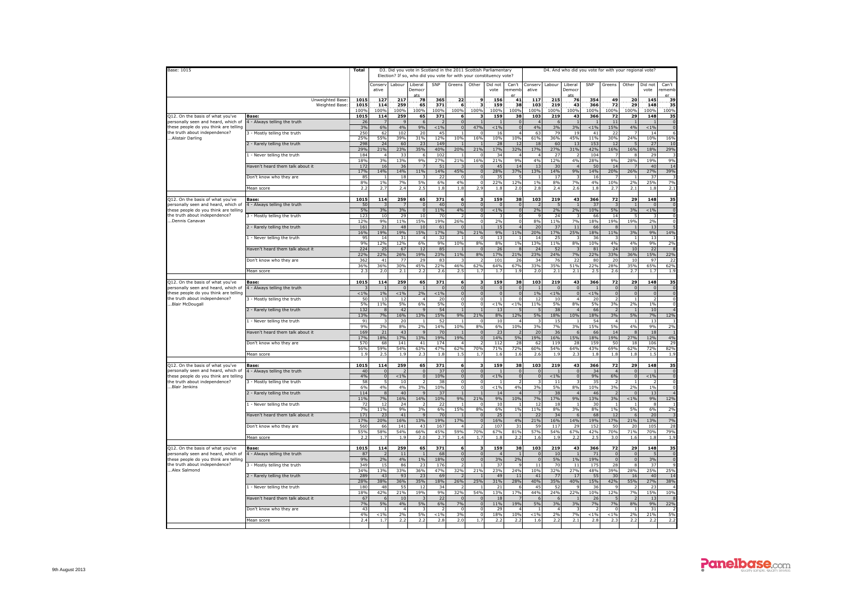| Base: 1015                                                                   |                                       | Total        |                               |                        |                              |                       | D3. Did you vote in Scotland in the 2011 Scottish Parliamentary<br>Election? If so, who did you vote for with your constituency vote? |                                  |                           |                         |                        |                       | D4. And who did you vote for with your regional vote? |             |                                |                          |                           |                                  |
|------------------------------------------------------------------------------|---------------------------------------|--------------|-------------------------------|------------------------|------------------------------|-----------------------|---------------------------------------------------------------------------------------------------------------------------------------|----------------------------------|---------------------------|-------------------------|------------------------|-----------------------|-------------------------------------------------------|-------------|--------------------------------|--------------------------|---------------------------|----------------------------------|
|                                                                              |                                       |              | Conserv<br>ative              |                        | Labour Liberal<br>Democr     | SNP                   | Greens                                                                                                                                | Other                            | Did not<br>vote           | Can't<br>rememt         | Conserv<br>ative       | Labour                | Liberal<br>Democr                                     | SNP         | Greens                         | Other                    | Did not<br>vote           | Can't<br>rememb                  |
|                                                                              | Unweighted Base:                      | 1015         | 127                           | 217                    | 78                           | 365                   | 22                                                                                                                                    | 9                                | 156                       | 41                      | 117                    | 215                   | 76                                                    | 354         | 49                             | 20                       | 145                       | 39                               |
|                                                                              | <b>Weighted Base</b>                  | 1015         | 114                           | 259                    | 65                           | 371                   | 6                                                                                                                                     |                                  | 159                       | 38                      | 103                    | 219                   | 43                                                    | 366         | 72                             | 29                       | 148                       | 35                               |
| Q12. On the basis of what you've                                             | Base:                                 | 100%<br>1015 | 100%<br>114                   | 100%<br>259            | 100%<br>65                   | 100%<br>371           | 100%<br>6                                                                                                                             | 100%<br>R                        | 100%<br>159               | 100%<br>38              | 100%<br>103            | 100%<br>219           | 100%<br>43                                            | 100%<br>366 | 100%<br>72                     | 100%<br>29               | 100%<br>148               | 100%<br>35                       |
| personally seen and heard, which of                                          | 4 - Always telling the truth          | 26           | $\overline{7}$                |                        | 6                            |                       | $\mathbf{0}$                                                                                                                          |                                  |                           |                         |                        | 6                     |                                                       |             | 11                             |                          |                           | $\overline{0}$                   |
| these people do you think are telling<br>the truth about independence?       | 3 - Mostly telling the truth          | 3%<br>250    | 6%<br>62                      | 4%<br>102              | 9%<br>20                     | $< 1\%$<br>45         | $\Omega$                                                                                                                              | 47%<br>$\mathbf 0$               | $< 1\%$<br>16             | $\Omega$                | 4%<br>63               | 3%<br>79              | 3%<br>19                                              | $1\%$<br>41 | 15%<br>22                      | 4%                       | < 1 %<br>14               | $\mathbf 0$<br>6                 |
| Alistair Darling                                                             |                                       | 25%          | 55%                           | 39%                    | 31%                          | 12%                   | 10%                                                                                                                                   | 16%                              | 10%                       | 10%                     | 61%                    | 36%                   | 45%                                                   | 11%         | 30%                            | 24%                      | 10%                       | 16%                              |
|                                                                              | 2 - Rarely telling the truth          | 298<br>29%   | 24<br>21%                     | 60                     | 23                           | 149                   | 20%                                                                                                                                   | 21%                              | 28                        | 12                      | 18<br>17%              | 60                    | 13<br>31%                                             | 153         | 12                             | 16%                      | 27                        | 10<br>29%                        |
|                                                                              | 1 - Never telling the truth           | 184          | 4                             | 23%<br>33              | 35%<br>6                     | 40%<br>102            |                                                                                                                                       | $\Omega$                         | 17%<br>34                 | 32%                     |                        | 27%<br>27             |                                                       | 42%<br>104  | 16%                            | 8                        | 18%<br>29                 |                                  |
|                                                                              | Haven't heard them talk about it      | 18%<br>172   | 3%<br>16                      | 13%<br>36              | 9%<br>$\overline{7}$         | 27%<br>51             | 21%<br>$\mathbf{R}$                                                                                                                   | 16%<br>$\Omega$                  | 21%<br>45                 | 9%<br>14                | 4%<br>13               | 12%<br>30             | 4%<br>$\overline{4}$                                  | 28%<br>50   | 9%<br>14                       | 28%<br>$\overline{7}$    | 19%<br>40                 | 9%<br>14                         |
|                                                                              | Don't know who they are               | 17%<br>85    | 14%<br>$\mathbf{1}$           | 14%<br>18              | 11%<br>3                     | 14%<br>22             | 45%<br>$\Omega$                                                                                                                       | $\mathbf{0}$<br>$\overline{0}$   | 28%<br>35                 | 37%                     | 13%                    | 14%<br>17             | 9%<br>3                                               | 14%<br>16   | 20%                            | 26%<br>$\mathbf{1}$      | 27%<br>37                 | 39%<br>3                         |
|                                                                              | Mean score                            | 8%<br>2.2    | $1\%$<br>2.7                  | 7%<br>2.4              | 5%<br>2.5                    | 6%<br>1.8             | 4%<br>1.8                                                                                                                             | $\mathbf 0$<br>2.9               | 22%<br>1.8                | 12%<br>2.0              | 1%<br>2.8              | 8%<br>2.4             | 7%<br>2.6                                             | 4%<br>1.8   | 10%<br>2.7                     | 2%<br>2.1                | 25%<br>1.8                | 7%<br>2.1                        |
|                                                                              |                                       |              |                               |                        |                              |                       |                                                                                                                                       |                                  |                           |                         |                        |                       |                                                       |             |                                |                          |                           |                                  |
| Q12. On the basis of what you've<br>personally seen and heard, which of      | Base:                                 | 1015         | 114                           | 259                    | 65                           | 371                   | 6<br>$\Omega$                                                                                                                         | з                                | 159                       | 38                      | 103                    | 219<br>5              | 43                                                    | 366         | 72                             | 29                       | 148                       | 35                               |
| hese people do you think are telling                                         | 4 - Always telling the truth          | 50<br>5%     | $\overline{\mathbf{3}}$<br>3% | 3%                     | $\mathbf{0}$<br>$\mathbf{0}$ | 40<br>11%             | 4%                                                                                                                                    | $\mathbf 0$<br>$\mathbf{0}$      | $\overline{a}$<br>$< 1\%$ | $\mathbf{0}$            | 2%                     | 2%                    | $\overline{1}$<br>2%                                  | 37<br>10%   | 5%                             | $\overline{1}$<br>3%     | $\overline{0}$<br>$< 1\%$ | $\overline{0}$<br>$\mathbf 0$    |
| the truth about independence?<br>Dennis Canavan                              | 3 - Mostly telling the truth          | 123<br>12%   | 10<br>9%                      | 29<br>11%              | 10<br>15%                    | 70<br>19%             | $\overline{z}$<br>26%                                                                                                                 | $\overline{0}$<br>$\overline{0}$ | 3<br>2%                   | $\Omega$                | $\mathbf{Q}$<br>8%     | 24<br>11%             | $\overline{3}$<br>7%                                  | 66<br>18%   | 14<br>19%                      | 5<br>19%                 | 3<br>2%                   | $\overline{0}$<br>$\overline{0}$ |
|                                                                              | 2 - Rarely telling the truth          | 161          | 21                            | 48                     | 10                           | 61                    | $\Omega$                                                                                                                              | 1                                | 15                        |                         | 20                     | 37                    | 11                                                    | 66          | 8                              | $\overline{1}$           | 13                        | -5                               |
|                                                                              | 1 - Never telling the truth           | 16%<br>95    | 19%<br>14                     | 19%<br>$\overline{31}$ | 15%<br>$\overline{4}$        | 17%<br>32             | 3%                                                                                                                                    | 21%<br>$\overline{0}$            | 9%<br>13                  | 11%                     | 20%<br>14              | 17%<br>25             | 25%<br>$\overline{\mathbf{z}}$                        | 18%<br>36   | 11%                            | 3%                       | 9%<br>13                  | 14%                              |
|                                                                              |                                       | Q0/          | 12%                           | 12%                    | 6%                           | 9%                    | 10%                                                                                                                                   | 8%                               | 8%                        | 1%                      | 13%                    | 11%                   | 8%                                                    | 10%         | 4%                             | 4%                       | $Q_0$                     | 2%                               |
|                                                                              | Haven't heard them talk about it      | 224<br>22%   | 25<br>22%                     | 67<br>26%              | 12<br>19%                    | 85<br>23%             | 11%                                                                                                                                   | $\Omega$<br>8%                   | 26<br>17%                 | 21%                     | 24<br>23%              | 52<br>24%             | 3<br>7%                                               | 81<br>22%   | 24<br>33%                      | 10<br>36%                | 22<br>15%                 | $\mathbf{g}$<br>22%              |
|                                                                              | Don't know who they are               | 362          | 41                            | 77                     | 29                           | 83                    |                                                                                                                                       | $\overline{\phantom{1}}$         | 101                       | 26                      | 34                     | 76                    | 22                                                    | 80          | 20                             | 10                       | 97                        | 22                               |
|                                                                              | Mean score                            | 36%<br>2.3   | 36%<br>2.0                    | 30%<br>2.1             | 45%<br>2.2                   | 22%<br>2.6            | 46%<br>2.5                                                                                                                            | 62%<br>1.7                       | 64%<br>1.7                | 67%<br>1.9              | 33%<br>2.0             | 35%<br>2.1            | 51%<br>2.1                                            | 22%<br>2.5  | 28%<br>2.6                     | 35%<br>2.7               | 65%<br>1.7                | 62%<br>1.9                       |
|                                                                              |                                       |              |                               |                        |                              |                       |                                                                                                                                       |                                  |                           |                         |                        |                       |                                                       |             |                                |                          |                           |                                  |
| Q12. On the basis of what you've<br>personally seen and heard, which of      | Base:<br>4 - Always telling the truth | 1015         | 114                           | 259                    | 65                           | 371                   | 6<br>$\overline{0}$                                                                                                                   | $\mathbf{3}$<br>$\mathbf{0}$     | 159<br>$\sqrt{ }$         | 38                      | 103                    | 219<br>$\overline{0}$ | 43<br>$\Omega$                                        | 366         | 72                             | 29<br>$\Omega$           | 148<br>$\Omega$           | 35<br>$\mathbf{0}$               |
| these people do you think are telling                                        |                                       | < 1%         | 1%                            | < 1%                   | 2%                           | < 1%                  | $\overline{0}$                                                                                                                        | $\Omega$                         | $\Omega$                  | $\Omega$                | 1%                     | < 1 %                 | $\Omega$                                              | < 1 %       | $\Omega$                       | $\Omega$                 | $\Omega$                  | $\overline{0}$                   |
| the truth about independence?<br>Blair McDougall                             | 3 - Mostly telling the truth          | 50<br>5%     | 13<br>11%                     | $\overline{12}$<br>5%  | $\overline{a}$<br>6%         | $\overline{20}$<br>5% | $\overline{0}$<br>$\mathbf 0$                                                                                                         | $\overline{0}$<br>$\circ$        | $< 1\%$                   | < 1%                    | $\overline{12}$<br>11% | 10<br>5%              | $\overline{4}$<br>8%                                  | 20<br>5%    | 3%                             | 2%                       | $\overline{z}$<br>1%      | $\overline{0}$<br>$\mathbf 0$    |
|                                                                              | 2 - Rarely telling the truth          | 132<br>13%   | 8<br>7%                       | 42<br>16%              | $\mathbf{q}$<br>13%          | 54<br>15%             | $\overline{1}$<br>9%                                                                                                                  | $\overline{1}$<br>21%            | 13<br>8%                  | 12%                     | -5<br>5%               | 38<br>18%             | $\overline{4}$<br>10%                                 | 66<br>18%   | $\overline{\phantom{0}}$<br>3% | $\overline{1}$<br>5%     | 10<br>7%                  | $\overline{4}$<br>12%            |
|                                                                              | 1 - Never telling the truth           | 91           | $\overline{\mathbf{3}}$       | 20                     | $\mathbf{1}$                 | 52                    | $\overline{1}$                                                                                                                        | $\Omega$                         | 10                        |                         |                        | 15                    | $\overline{1}$                                        | 54          | $\Delta$                       | $\overline{1}$           | 13                        |                                  |
|                                                                              | Haven't heard them talk about it      | 9%<br>169    | 3%<br>21                      | 8%<br>43               | 2%<br>9                      | 14%<br>70             | 10%<br>$\blacksquare$                                                                                                                 | 8%<br>$\overline{0}$             | 6%<br>23                  | 10%                     | 3%<br>20               | 7%<br>36              | 3%<br>6                                               | 15%<br>66   | 5%<br>14                       | 4%<br>8                  | 9%<br>18                  | 2%<br>$\overline{1}$             |
|                                                                              | Don't know who they are               | 17%<br>570   | 18%<br>68                     | 17%<br>141             | 13%<br>41                    | 19%<br>174            | 19%<br>$\overline{a}$                                                                                                                 | $\Omega$<br>$\overline{z}$       | 14%<br>112                | 5%<br>28                | 19%<br>62              | 16%<br>119            | 15%<br>28                                             | 18%<br>159  | 19%<br>50                      | 27%<br>18                | 12%<br>106                | 4%<br>29                         |
|                                                                              |                                       | 56%          | 59%                           | 54%                    | 63%                          | 47%                   | 62%                                                                                                                                   | 70%                              | 71%                       | 72%                     | 60%                    | 54%                   | 64%                                                   | 43%         | 69%                            | 62%                      | 72%                       | 82%                              |
|                                                                              | Mean score                            | 1.9          | 2.5                           | 1.9                    | 2.3                          | 1.8                   | 1.5                                                                                                                                   | 1.7                              | 1.6                       | 1.6                     | 2.6                    | 1.9                   | 2.3                                                   | 1.8         | 1.8                            | 1.8                      | 1.5                       | 1.9                              |
| 012. On the basis of what you've                                             | Base:                                 | 1015         | 114                           | 259                    | 65                           | 371                   | 6                                                                                                                                     | 3                                | 159                       | 38                      | 103                    | 219                   | 43                                                    | 366         | 72                             | 29                       | 148                       | 35                               |
| personally seen and heard, which of<br>these people do you think are telling | 1 - Always telling the truth          | 40<br>4%     | $\mathbf 0$<br>$\Omega$       | $< 1\%$                | $\mathbf 0$<br>$\Omega$      | 37<br>10%             | $\overline{0}$<br>$\overline{0}$                                                                                                      | $\bullet$<br>$\Omega$            | $< 1\%$                   | $\mathbf 0$<br>$\Omega$ |                        | $< 1\%$               | $\overline{0}$<br>$\Omega$                            | 34<br>9%    | 6%                             | $\mathbf{0}$<br>$\Omega$ | $< 1\%$                   | $\overline{0}$<br>$\sqrt{0}$     |
| the truth about independence?                                                | 3 - Mostly telling the truth          | 58           | 5                             | 10                     | $\overline{2}$               | 38                    | $\mathbf 0$                                                                                                                           | $^{\circ}$                       |                           |                         | $\Omega$               | 11                    | $\overline{\mathbf{3}}$                               | 35          |                                |                          |                           | $\circ$                          |
| Blair Jenkins                                                                | 2 - Rarely telling the truth          | 6%<br>114    | 4%<br>8                       | 4%<br>40               | 3%<br>$\mathbf{q}$           | 10%<br>37             | $\overline{0}$                                                                                                                        | $\mathbf 0$                      | $< 1\%$<br>14             | 4%                      | 3%                     | 5%<br>38              | 8%                                                    | 10%<br>46   | 3%                             | 2%<br>$\Omega$           | 1%<br>13                  | $\overline{0}$                   |
|                                                                              |                                       | 11%          | 7%                            | 16%                    | 14%                          | 10%                   | 9%                                                                                                                                    | 21%                              | 9%                        | 10%                     | 7%                     | 17%                   | 9%                                                    | 13%         | 3%                             | $< 1\%$                  | 9%                        | 12%                              |
|                                                                              | 1 - Never telling the truth           | 77<br>7%     | 12<br>11%                     | 24<br>9%               | 3%                           | 2 <sup>2</sup><br>6%  | 15%                                                                                                                                   | $\Omega$<br>8%                   | 10<br>6%                  | 1%                      | 12<br>11%              | 18<br>8%              | $\overline{1}$<br>3%                                  | 30<br>8%    | 1%                             | 5%                       | 8<br>6%                   | 2%                               |
|                                                                              | Haven't heard them talk about it      | 171          | 23                            | 41                     | $\overline{q}$               | 70                    | $\blacksquare$                                                                                                                        | $\Omega$                         | 25                        |                         | 22                     | 34                    | -6                                                    | 68          | 12                             | -6                       | 20                        | - 3                              |
|                                                                              | Don't know who they are               | 17%<br>560   | 20%<br>66                     | 16%<br>141             | 13%<br>43                    | 19%<br>167            | 17%<br>$\overline{a}$                                                                                                                 | $\Omega$<br>$\overline{z}$       | 16%<br>107                | 4%<br>31                | 21%<br>59              | 16%<br>117            | 14%<br>29                                             | 19%<br>152  | 17%<br>50                      | 21%<br>20                | 13%<br>105                | 7%<br>28                         |
|                                                                              |                                       | 55%          | 58%                           | 54%<br>1.9             | 66%                          | 45%                   | 59%                                                                                                                                   | 70%                              | 67%                       | 81%                     | 57%                    | 54%                   | 67%                                                   | 42%         | 70%<br>3.0                     | 71%                      | 70%                       | 79%                              |
|                                                                              | Mean score                            | 2.2          | 1.7                           |                        | 2.0                          | 2.7                   | $1.4\,$                                                                                                                               | 1.7                              | 1.8                       | 2.2                     | 1.6                    | 1.9                   | 2.2                                                   | 2.5         |                                | 1.6                      | 1.8                       | 1.9                              |
| 212. On the basis of what you've                                             | Base:                                 | 1015<br>87   | 114<br>$\overline{z}$         | 259<br>11              | 65<br>$\overline{1}$         | 371<br>68             | 6<br>$\overline{0}$                                                                                                                   | з<br>$\overline{0}$              | 159<br>$\overline{4}$     | 38<br>$\overline{1}$    | 103<br>$\Omega$        | 219<br>10             | 43<br>$\overline{1}$                                  | 366<br>71   | 72<br>$\Omega$                 | 29<br>$\Omega$           | 148<br>-5                 | 35<br>$\sqrt{0}$                 |
| personally seen and heard, which of<br>hese people do you think are telling  | 4 - Always telling the truth          | 9%           | 2%                            | 4%                     | 1%                           | 18%                   | $\Omega$                                                                                                                              | $\Omega$                         | 3%                        | 2%                      | $\Omega$               | 5%                    | 1%                                                    | 19%         | $\Omega$                       | $\Omega$                 | 3%                        | $\mathbf 0$                      |
| the truth about independence?<br>Alex Salmond                                | 3 - Mostly telling the truth          | 349<br>34%   | 15<br>13%                     | 86<br>33%              | 23<br>36%                    | 176<br>47%            | 2<br>32%                                                                                                                              | 1<br>21%                         | 37<br>23%                 | 24%                     | 11<br>10%              | 70<br>32%             | 11<br>27%                                             | 175<br>48%  | 28<br>39%                      | 8<br>28%                 | 37<br>25%                 | 9<br>25%                         |
|                                                                              | 2 - Rarely telling the truth          | 289          | 43                            | 93                     | 23                           | 69                    | $\overline{2}$                                                                                                                        | $\mathbf{1}$                     | 49                        | 11                      | 41                     | 77                    | 17                                                    | 55          | 30                             | 16                       | 40                        | 14                               |
|                                                                              | 1 - Never telling the truth           | 28%<br>180   | 38%<br>48                     | 36%<br>55              | 35%<br>12                    | 18%<br>34             | 26%<br>$\overline{z}$                                                                                                                 | 25%<br>$\overline{1}$            | 31%<br>21                 | 28%                     | 40%<br>45              | 35%<br>52             | 40%<br>$\mathbf{q}$                                   | 15%<br>36   | 42%                            | 55%<br>$\overline{z}$    | 27%<br>23                 | 38%<br>$\overline{4}$            |
|                                                                              |                                       | 18%          | 42%                           | 21%                    | 19%                          | 9%                    | 32%                                                                                                                                   | 54%                              | 13%                       | 17%                     | 44%                    | 24%                   | 22%                                                   | 10%         | 12%                            | 7%                       | 15%                       | 10%                              |
|                                                                              | Haven't heard them talk about it      | 67<br>7%     | 6<br>5%                       | 10<br>4%               | 5%                           | 22<br>6%              | $\Omega$<br>7%                                                                                                                        | $\Omega$<br>$\Omega$             | 18<br>11%                 | 19%                     | 5%                     | 6<br>3%               | 3%                                                    | 26<br>7%    | 7%                             | 8%                       | 13<br>9%                  | 22%                              |
|                                                                              | Don't know who they are               | 43<br>4%     | $< 1\%$                       | 2%                     | 5%                           | $< 1\%$               | $\Omega$<br>3%                                                                                                                        | $\overline{0}$<br>$\circ$        | 29<br>18%                 | 10%                     | $< 1\%$                | $\overline{4}$<br>2%  | 7%                                                    | $< 1\%$     | $< 1\%$                        | 2%                       | 31<br>21%                 | 5%                               |
|                                                                              | Mean score                            | 2.4          | 1.7                           | 2.2                    | 2.2                          | 2.8                   | 2.0                                                                                                                                   | 1.7                              | 2.2                       | 2.2                     | 1.6                    | 2.2                   | 2.1                                                   | 2.8         | 2.3                            | 2.2                      | 2.2                       | 2.2                              |
|                                                                              |                                       |              |                               |                        |                              |                       |                                                                                                                                       |                                  |                           |                         |                        |                       |                                                       |             |                                |                          |                           |                                  |

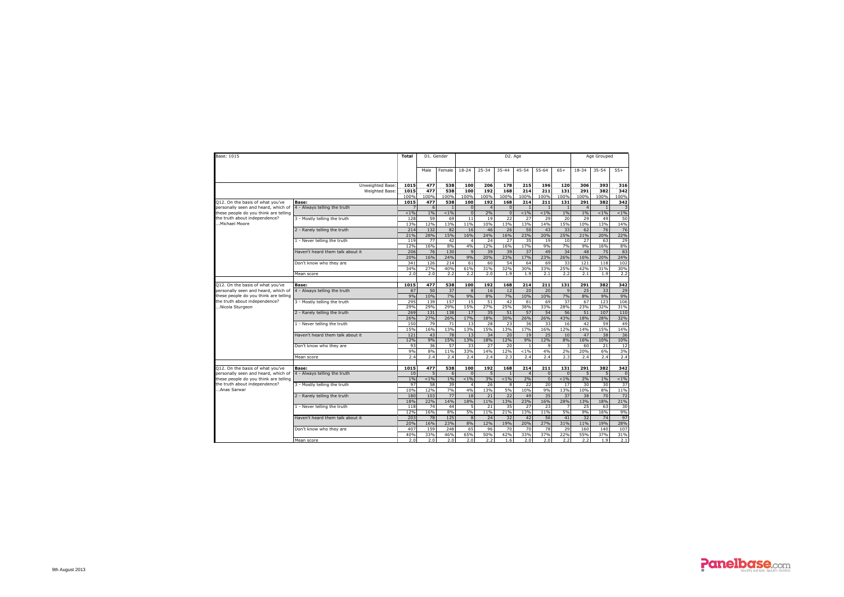| Base: 1015                                                              |                                       | Total        |             | D1. Gender       |                 |                |                | D <sub>2</sub> . Age |                |                |                | Age Grouped |             |
|-------------------------------------------------------------------------|---------------------------------------|--------------|-------------|------------------|-----------------|----------------|----------------|----------------------|----------------|----------------|----------------|-------------|-------------|
|                                                                         |                                       |              | Male        | Female           | $18 - 24$       | 25-34          | 35-44          | 45-54                | 55-64          | $65+$          | 18-34          | 35-54       | $55+$       |
|                                                                         | Unweighted Base                       | 1015         | 477         | 538              | 100             | 206            | 178            | $\overline{215}$     | 196            | 120            | 306            | 393         | 316         |
|                                                                         | Weighted Base                         | 1015         | 477         | 538              | 100             | 192            | 168            | 214                  | 211            | 131            | 291            | 382         | 342         |
|                                                                         |                                       | 100%<br>1015 | 100%<br>477 | 100%<br>538      | 100%            | 100%<br>192    | 100%<br>168    | 100%<br>214          | 100%<br>211    | 100%<br>131    | 100%<br>291    | 100%<br>382 | 100%<br>342 |
| Q12. On the basis of what you've<br>personally seen and heard, which of | Base:<br>4 - Always telling the truth |              | 6           |                  | 100<br>$\Omega$ | $\overline{4}$ | $\overline{0}$ | $\overline{1}$       | $\overline{1}$ |                | $\overline{4}$ |             |             |
| these people do you think are telling                                   |                                       | $< 1\%$      | 1%          | < 1%             | $\Omega$        | 2%             | $\overline{0}$ | $1\%$                | $1\%$          | 1%             | 1%             | $1\%$       | $1\%$       |
| the truth about independence?                                           | 3 - Mostly telling the truth          | 128          | 59          | 69               | 11              | 19             | 22             | 27                   | 29             | 20             | 29             | 49          | 50          |
| Michael Moore                                                           |                                       | 13%          | 12%         | <b>13%</b>       | 11%             | 10%            | 13%            | 13%                  | 14%            | 15%            | 10%            | 13%         | 14%         |
|                                                                         | 2 - Rarely telling the truth          | 214          | 132         | 82               | 16              | 46             | 26             | 50                   | 43             | 33             | 62             | 76          | 76          |
|                                                                         |                                       | 21%          | 28%         | 15%              | 16%             | 24%            | 16%            | 23%                  | 20%            | 25%            | 21%            | 20%         | 22%         |
|                                                                         | 1 - Never telling the truth           | 119          | 77          | 42               | $\Delta$        | 24             | 27             | 35                   | 19             | 10             | 27             | 63          | 29          |
|                                                                         |                                       | 12%          | 16%         | 8%               | 4%              | 12%            | 16%            | 17%                  | 9%             | 7%             | 9%             | 16%         | 8%          |
|                                                                         | Haven't heard them talk about it      | 206          | 76          | 130              | $\overline{9}$  | 39             | 39             | 37                   | 49             | 34             | 48             | 75          | 83          |
|                                                                         |                                       | 20%          | 16%         | 24%              | 9%              | 20%            | 23%            | 17%                  | 23%            | 26%            | 16%            | 20%         | 24%         |
|                                                                         | Don't know who they are               | 341          | 126<br>27%  | 214<br>40%       | 61<br>61%       | 60<br>31%      | 54<br>32%      | 64<br>30%            | 69<br>33%      | 33<br>25%      | 121<br>42%     | 118<br>31%  | 102<br>30%  |
|                                                                         | Mean score                            | 34%<br>2.0   | 2.0         | 2.2              | 2.2             | 2.0            | 1.9            | 1.9                  | 2.1            | 2.2            | 2.1            | 1.9         | 2.2         |
|                                                                         |                                       |              |             |                  |                 |                |                |                      |                |                |                |             |             |
| Q12. On the basis of what you've                                        | Base:                                 | 1015         | 477         | 538              | 100             | 192            | 168            | 214                  | 211            | 131            | 291            | 382         | 342         |
| personally seen and heard, which of                                     | 4 - Always telling the truth          | 87           | 50          | 37               | $\overline{8}$  | 16             | 12             | 20                   | 20             | $\overline{q}$ | 25             | 33          | 29          |
| these people do you think are telling                                   |                                       | 9%           | 10%         | 7%               | 9%              | 8%             | 7%             | 10%                  | 10%            | 7%             | 8%             | 9%          | 9%          |
| the truth about independence?                                           | 3 - Mostly telling the truth          | 295          | 139         | 157              | 15              | 51             | 42             | 81                   | 69             | 37             | 67             | 123         | 106         |
| Nicola Sturgeon                                                         |                                       | 29%          | 29%         | 29%              | 15%             | 27%            | 25%            | 38%                  | 33%            | 28%            | 23%            | 32%         | 31%         |
|                                                                         | 2 - Rarely telling the truth          | 269          | 131         | 138              | 17              | 35             | 51             | 57                   | 54             | 56             | 51             | 107         | 110         |
|                                                                         |                                       | 26%          | 27%         | 26%              | 17%             | 18%            | 30%            | 26%                  | 26%            | 43%            | 18%            | 28%         | 32%         |
|                                                                         | 1 - Never telling the truth           | 150          | 79          | 71               | 13              | 28             | 23             | 36                   | 33             | 16             | 42             | 59          | 49          |
|                                                                         |                                       | 15%          | 16%         | 13%              | 13%             | 15%            | 13%            | 17%                  | 16%<br>25      | 12%            | 14%            | 15%         | 14%         |
|                                                                         | Haven't heard them talk about it      | 121<br>12%   | 43<br>9%    | 78<br>15%        | 13<br>13%       | 34<br>18%      | 20<br>12%      | 19<br>9%             | 12%            | 10<br>8%       | 47<br>16%      | 38<br>10%   | 36<br>10%   |
|                                                                         | Don't know who they are               | 93           | 36          | 57               | 33              | 27             | 20             | $\overline{1}$       | $\mathbf{q}$   | 3              | 60             | 21          | 12          |
|                                                                         |                                       | 9%           | 8%          | 11%              | 33%             | 14%            | 12%            | $< 1\%$              | 4%             | 2%             | 20%            | 6%          | 3%          |
|                                                                         | Mean score                            | 2.4          | 2.4         | 2.4              | 2.4             | 2.4            | 2.3            | 2.4                  | 2.4            | 2.3            | 2.4            | 2.4         | 2.4         |
|                                                                         |                                       |              |             |                  |                 |                |                |                      |                |                |                |             |             |
| Q12. On the basis of what you've                                        | Base:                                 | 1015         | 477         | 538              | 100             | 192            | 168            | 214                  | 211            | 131            | 291            | 382         | 342         |
| personally seen and heard, which of                                     | 4 - Always telling the truth          | 10           | 5           | $6 \overline{6}$ | $\Omega$        | $\overline{5}$ |                | $\overline{a}$       | $\Omega$       | $\Omega$       | $\overline{5}$ | 5           |             |
| these people do you think are telling                                   |                                       | 1%           | $< 1\%$     | 1%               | $< 1\%$         | 3%             | $< 1\%$        | 2%                   | $\mathbf{0}$   | $< 1\%$        | 2%             | 1%          | 1%          |
| the truth about independence?                                           | 3 - Mostly telling the truth          | 97           | 58          | 39               | $\overline{a}$  | 26             | 8              | 72                   | 20             | 17             | 30             | 30          | 37          |
| Anas Sarwar                                                             |                                       | 10%          | 12%         | 7%               | 4%              | 13%            | 5%             | 10%                  | 9%             | 13%            | 10%            | 8%          | 11%         |
|                                                                         | 2 - Rarely telling the truth          | 180<br>18%   | 103<br>22%  | 77<br>14%        | 18<br>18%       | 21<br>11%      | 22<br>13%      | 49<br>23%            | 35<br>16%      | 37<br>28%      | 38<br>13%      | 70<br>18%   | 72<br>21%   |
|                                                                         | 1 - Never telling the truth           | 118          | 74          | 44               | 5               | 21             | 35             | 27                   | 23             |                | 25             | 63          | 30          |
|                                                                         |                                       | 12%          | 16%         | 8%               | 5%              | 11%            | 21%            | 13%                  | 11%            | 5%             | 9%             | 16%         | 9%          |
|                                                                         | Haven't heard them talk about it      | 203          | 78          | 125              | 8               | 24             | 32             | 42                   | 56             | 41             | 32             | 74          | 97          |
|                                                                         |                                       | 20%          | 16%         | 23%              | 8%              | 12%            | 19%            | 20%                  | 27%            | 31%            | 11%            | 19%         | 28%         |
|                                                                         | Don't know who they are               | 407          | 159         | 248              | 65              | 96             | 70             | 70                   | 78             | 29             | 160            | 140         | 107         |
|                                                                         |                                       | 40%          | 33%         | 46%              | 65%             | 50%            | 42%            | 33%                  | 37%            | 22%            | 55%            | 37%         | 31%         |
|                                                                         | Mean score                            | 2.0          | 2.0         | 2.0              | 2.0             | 2.2            | 1.6            | 2.0                  | 2.0            | 2.2            | 2.2            | 1.9         | 2.1         |

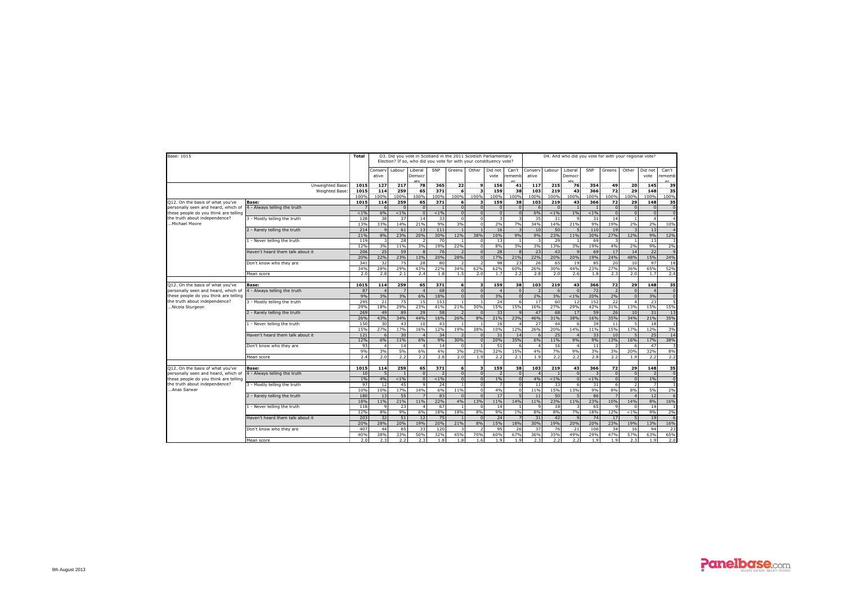| Base: 1015                            |                                  | Total |                         |                |                          |         |                         |                         | D3. Did you vote in Scotland in the 2011 Scottish Parliamentary<br>Election? If so, who did you vote for with your constituency vote? |                 |                  |                |                   |         | D4. And who did you vote for with your regional vote? |                |                         |                      |
|---------------------------------------|----------------------------------|-------|-------------------------|----------------|--------------------------|---------|-------------------------|-------------------------|---------------------------------------------------------------------------------------------------------------------------------------|-----------------|------------------|----------------|-------------------|---------|-------------------------------------------------------|----------------|-------------------------|----------------------|
|                                       |                                  |       | Conserv<br>ative        | Labour         | Liberal<br>Democr<br>ate | SNP     | Greens                  | Other                   | Did not<br>vote                                                                                                                       | Can't<br>rememb | Conserv<br>ative | Labour         | Liberal<br>Democr | SNP     | Greens                                                | Other          | Did not<br>vote         | Can't<br>ememb<br>er |
|                                       | Unweighted Base:                 | 1015  | 127                     | 217            | 78                       | 365     | 22                      | 9                       | 156                                                                                                                                   | 41              | 117              | 215            | 76                | 354     | 49                                                    | 20             | 145                     | 39                   |
|                                       | Weighted Base                    | 1015  | 114                     | 259            | 65                       | 371     | 6                       | з                       | 159                                                                                                                                   | 38              | 103              | 219            | 43                | 366     | 72                                                    | 29             | 148                     | 35                   |
|                                       |                                  | 100%  | 100%                    | 100%           | 100%                     | 100%    | 100%                    | 100%                    | 100%                                                                                                                                  | 100%            | 100%             | 100%           | 100%              | 100%    | 100%                                                  | 100%           | 100%                    | 100%                 |
| 012. On the basis of what you've      | Base:                            | 1015  | 114                     | 259            | 65                       | 371     | 6                       | 3                       | 159                                                                                                                                   | 38              | 103              | 219            | 43                | 366     | 72                                                    | 29             | 148                     | 35                   |
| personally seen and heard, which of   | 4 - Always telling the truth     | 7     | 6                       | $\mathbf{0}$   | $\Omega$                 |         | $\overline{0}$          | $\mathbf{0}$            | $\mathbf{0}$                                                                                                                          | $\Omega$        | 6                | $\mathbf{0}$   | $\overline{1}$    |         | $\Omega$                                              | $\overline{0}$ | $\Omega$                | $\sqrt{2}$           |
| these people do you think are telling |                                  | < 1%  | 6%                      | $< 1\%$        | $\sqrt{2}$               | $< 1\%$ | $\overline{0}$          | $\Omega$                | $\overline{0}$                                                                                                                        |                 | 6%               | $1\%$          | 1%                | < 1%    | $\Omega$                                              | $\overline{0}$ | $\sqrt{2}$              |                      |
| the truth about independence?         | 3 - Mostly telling the truth     | 128   | 38                      | 37             | 14                       | 33      | $\Omega$                | $\Omega$                | з                                                                                                                                     |                 | 35               | 31             | $\mathbf{q}$      | 31      | 14                                                    | $\overline{1}$ | $\overline{\mathbf{4}}$ |                      |
| Michael Moore                         |                                  | 13%   | 33%                     | 14%            | 21%                      | 9%      | 3%                      | $\mathbf 0$             | 2%                                                                                                                                    | 7%              | 34%              | 14%            | 21%               | 9%      | 19%                                                   | 2%             | 2%                      | 10%                  |
|                                       | 2 - Rarely telling the truth     | 214   | $\mathbf{q}$            | 61             | 13                       | 111     | $\overline{1}$          |                         | 16                                                                                                                                    |                 | 10               | 50             | 5                 | 110     | 19                                                    | $\overline{3}$ | 13                      |                      |
|                                       |                                  | 21%   | 8%                      | 23%            | 20%                      | 30%     | 12%                     | 38%                     | 10%                                                                                                                                   | 9%              | 9%               | 23%            | 11%               | 30%     | 27%                                                   | 12%            | 9%                      | 12%                  |
|                                       | 1 - Never telling the truth      | 119   | $\overline{\mathbf{3}}$ | 28             | $\overline{\phantom{a}}$ | 70      | $\overline{1}$          | $\Omega$                | 13                                                                                                                                    |                 | $\overline{3}$   | 29             | $\overline{1}$    | 69      |                                                       | $\blacksquare$ | 13                      |                      |
|                                       |                                  | 12%   | 3%                      | 11%            | 3%                       | 19%     | 22%                     | $\Omega$                | 8%                                                                                                                                    | 3%              | 3%               | 13%            | 3%                | 19%     | 4%                                                    | 2%             | 9%                      | 2%                   |
|                                       | Haven't heard them talk about it | 206   | 25                      | 59             |                          | 76      | $\overline{z}$          | $\mathbf{0}$            | 28                                                                                                                                    |                 | 23               | 43             | $\mathbf{Q}$      | 69      | 17                                                    | 14             | 22                      |                      |
|                                       |                                  | 20%   | 22%                     | 23%            | 13%                      | 20%     | 28%                     | $\Omega$                | 17%                                                                                                                                   | 21%             | 22%              | 20%            | 20%               | 19%     | 24%                                                   | 48%            | 15%                     | 24%                  |
|                                       | Don't know who they are          | 341   | 32                      | 75             | 28                       | 80      | $\overline{z}$          |                         | 98                                                                                                                                    | 23              | 26               | 65             | 19                | 85      | 20                                                    | 10             | 97                      | 18                   |
|                                       |                                  | 34%   | 28%                     | 29%            | 43%                      | 22%     | 34%                     | 62%                     | 62%                                                                                                                                   | 60%             | 26%              | 30%            | 44%               | 23%     | 27%                                                   | 36%            | 65%                     | 52%                  |
|                                       | Mean score                       | 2.0   | 2.8                     | 2.1            | 2.4                      | 1.8     | 1.5                     | 2.0                     | 1.7                                                                                                                                   | 2.7             | 2.8              | 2.0            | 2.6               | 1.8     | 2.3                                                   | 2.0            | 1.7                     | 2.4                  |
|                                       |                                  |       |                         |                |                          |         |                         |                         |                                                                                                                                       |                 |                  |                |                   |         |                                                       |                |                         |                      |
| Q12. On the basis of what you've      | Base:                            | 1015  | 114                     | 259            | 65                       | 371     | 6                       | 3                       | 159                                                                                                                                   | 38              | 103              | 219            | 43                | 366     | 72                                                    | 29             | 148                     | 35                   |
| personally seen and heard, which of   | 4 - Always telling the truth     | 87    | $\overline{4}$          | $\overline{7}$ | $\overline{A}$           | 68      | $\overline{0}$          | $\Omega$                | $\overline{4}$                                                                                                                        |                 | $\overline{z}$   | 6              | $\Omega$          | 72      |                                                       | $\overline{0}$ | $\Delta$                | $\sqrt{ }$           |
| these people do you think are telling |                                  | 9%    | 3%                      | 3%             | 6%                       | 18%     | $\overline{0}$          | $\Omega$                | 3%                                                                                                                                    |                 | 2%               | 3%             | $< 1\%$           | 20%     | 2%                                                    | $\overline{0}$ | 3%                      |                      |
| the truth about independence?         | 3 - Mostly telling the truth     | 295   | 21                      | 75             | 15                       | 153     | $\overline{1}$          |                         | 24                                                                                                                                    | 6               | 17               | 60             | 12                | 152     | 22                                                    | $\overline{4}$ | 23                      |                      |
| .Nicola Sturgeon                      |                                  | 29%   | 18%                     | 29%            | 23%                      | 41%     | 21%                     | 30%                     | 15%                                                                                                                                   | 15%             | 16%              | 27%            | 29%               | 42%     | 31%                                                   | 13%            | 15%                     | 15%                  |
|                                       | 2 - Rarely telling the truth     | 269   | 49                      | 89             | 29                       | 58      | $\overline{z}$          | $\Omega$                | 33                                                                                                                                    |                 | 47               | 68             | 17                | 59      | 26                                                    | 10             | 31                      | 13                   |
|                                       |                                  | 26%   | 43%                     | 34%            | 44%                      | 16%     | 26%                     | 8%                      | 21%                                                                                                                                   | 23%             | 46%              | 31%            | 38%               | 16%     | 35%                                                   | 34%            | 21%                     | 35%                  |
|                                       | 1 - Never telling the truth      | 150   | 30                      | 43             | 10                       | 43      | -1                      |                         | 16                                                                                                                                    |                 | 27               | 44             | 6                 | 39      | 11                                                    | 5              | 18                      |                      |
|                                       |                                  | 15%   | 27%                     | 17%            | 16%                      | 12%     | 19%                     | 38%                     | 10%                                                                                                                                   | 12%             | 26%              | 20%            | 14%               | 11%     | 15%                                                   | 17%            | 12%                     | 3%                   |
|                                       | Haven't heard them talk about it | 121   | 6                       | 30             |                          | 34      | $\overline{z}$          | $\Omega$                | 31                                                                                                                                    | 14              | 6                | 25             | 4                 | 33      | 10                                                    | 5              | 25                      | 14                   |
|                                       |                                  | 12%   | 6%                      | 11%            | 6%                       | 9%      | 30%                     | $\mathbf{0}$            | 20%                                                                                                                                   | 35%             | 6%               | 11%            | 9%                | 9%      | 13%                                                   | 16%            | 17%                     | 38%                  |
|                                       | Don't know who they are          | 93    | $\overline{a}$          | 14             | $\Delta$                 | 14      | $\mathbf{0}$            |                         | 51                                                                                                                                    |                 | $\overline{a}$   | 16             | $\Delta$          | 11      |                                                       | 6              | 47                      |                      |
|                                       |                                  | 9%    | 3%                      | 5%             | 6%                       | 4%      | 3%                      | 25%                     | 32%                                                                                                                                   | 15%             | 4%               | 7%             | 9%                | 3%      | 3%                                                    | 20%            | 32%                     | 8%                   |
|                                       | Mean score                       | 2.4   | 2.0                     | 2.2            | 2.2                      | 2.8     | 2.0                     | 1.9                     | 2.2                                                                                                                                   | 2.1             | 1.9              | 2.2            | 2.2               | 2.8     | 2.2                                                   | 1.9            | 2.2                     | 2.2                  |
|                                       |                                  |       |                         |                |                          |         |                         |                         |                                                                                                                                       |                 |                  |                |                   |         |                                                       |                |                         |                      |
| 012. On the basis of what you've      | <b>Base:</b>                     | 1015  | 114                     | 259            | 65                       | 371     | $\overline{6}$          | $\overline{\mathbf{3}}$ | 159                                                                                                                                   | 38              | 103              | 219            | 43                | 366     | 72                                                    | 29             | 148                     | 35                   |
| personally seen and heard, which of   | 4 - Always telling the truth     | 10    | 5                       | $\overline{1}$ | $\Omega$                 | 2       | $\overline{0}$          | $\mathbf{0}$            | $\overline{z}$                                                                                                                        | $\Omega$        | $\Delta$         | $\overline{1}$ | $\overline{0}$    |         | $\Omega$                                              | $\overline{0}$ | $\overline{z}$          | $\sqrt{ }$           |
| these people do you think are telling |                                  | 1%    | 4%                      | $< 1\%$        | n                        | $< 1\%$ | $\overline{0}$          | $\mathbf{0}$            | 1%                                                                                                                                    |                 | 4%               | $1\%$          | $\mathbf{0}$      | $< 1\%$ | $\Omega$                                              | $\overline{0}$ | 1%                      | $\sqrt{2}$           |
| the truth about independence?         | 3 - Mostly telling the truth     | 97    | 12                      | 45             | $\circ$                  | 24      | $\overline{1}$          | $\Omega$                |                                                                                                                                       |                 | 11               | 33             | 6                 | 31      | 6                                                     | $\overline{z}$ |                         |                      |
| Anas Sarwar                           |                                  | 10%   | 10%                     | 17%            | 14%                      | 6%      | 11%                     | $\Omega$                | 4%                                                                                                                                    |                 | 11%              | 15%            | 13%               | 9%      | 8%                                                    | 8%             | 5%                      | 2%                   |
|                                       | 2 - Rarely telling the truth     | 180   | 13                      | 55             |                          | 83      | $\Omega$                | $\Omega$                | 17                                                                                                                                    |                 | 11               | 50             | $\overline{a}$    | 86      |                                                       | $\overline{a}$ | 12                      |                      |
|                                       |                                  | 18%   | 11%                     | 21%            | 11%                      | 22%     | 4%                      | 13%                     | 11%                                                                                                                                   | 14%             | 11%              | 23%            | 11%               | 23%     | 10%                                                   | 14%            | 8%                      | 16%                  |
|                                       | 1 - Never telling the truth      | 118   | $\mathbf{q}$            | 23             | $\Delta$                 | 67      | $\blacksquare$          | $\Omega$                | 14                                                                                                                                    |                 | $\mathbf{q}$     | 18             | 3                 | 65      | 9                                                     | $\Omega$       | 14                      |                      |
|                                       |                                  | 12%   | 8%                      | 9%             | 6%                       | 18%     | 18%                     | 8%                      | 9%                                                                                                                                    | 1%              | 8%               | 8%             | 7%                | 18%     | 12%                                                   | $< 1\%$        | 9%                      | 2%                   |
|                                       | Haven't heard them talk about it | 203   | 32                      | 51             | 12                       | 75      |                         | $\Omega$                | 24                                                                                                                                    |                 | 31               | 42             | $\mathbf{q}$      | 74      | 17                                                    | 5              | 19                      |                      |
|                                       |                                  | 20%   | 28%                     | 20%            | 19%                      | 20%     | 21%                     | 8%                      | 15%                                                                                                                                   | 18%             | 30%              | 19%            | 20%               | 20%     | 23%                                                   | 19%            | 13%                     | 16%                  |
|                                       | Don't know who they are          | 407   | 44                      | 85             | 33                       | 120     | $\overline{\mathbf{3}}$ | $\overline{z}$          | 95                                                                                                                                    | 26              | 37               | 76             | 21                | 106     | 34                                                    | 16             | 94                      | 23                   |
|                                       |                                  | 40%   | 38%                     | 33%            | 50%                      | 32%     | 45%                     | 70%                     | 60%                                                                                                                                   | 67%             | 36%              | 35%            | 49%               | 29%     | 47%                                                   | 57%            | 63%                     | 65%                  |
|                                       | Mean score                       | 2.0   | 2.3                     | 2.2            | 2.3                      | 1.8     | 1.8                     | 1.6                     | 1.9                                                                                                                                   | 1.9             | 2.3              | 2.2            | 2.2               | 1.9     | 1.9                                                   | 2.3            | 1.9                     | 2.0                  |

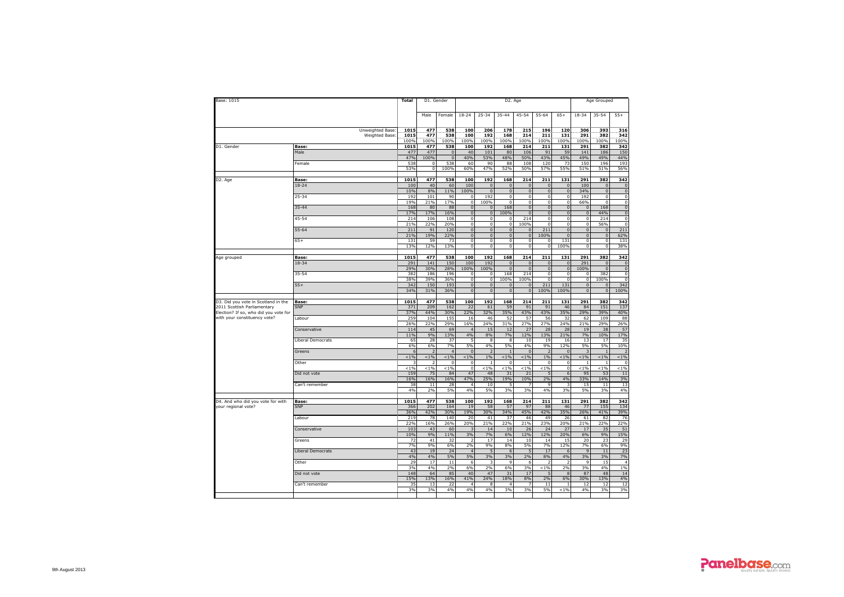| Base: 1015                            |                                    | Total        | D1. Gender       |                      |                            |                                | D2. Age                    |                            |                             |                            |                            | Age Grouped                 |                         |
|---------------------------------------|------------------------------------|--------------|------------------|----------------------|----------------------------|--------------------------------|----------------------------|----------------------------|-----------------------------|----------------------------|----------------------------|-----------------------------|-------------------------|
|                                       |                                    |              | Male             | Female               | $18 - 24$                  | $25 - 34$                      | 35-44                      | $45 - 54$                  | $55 - 64$                   | $65+$                      | 18-34                      | 35-54                       | $55+$                   |
|                                       | Unweighted Base:<br>Weighted Base: | 1015<br>1015 | 477<br>477       | 538<br>538           | 100<br>100                 | 206<br>192                     | 178<br>168                 | 215<br>214                 | 196<br>211                  | 120<br>131                 | 306<br>291                 | 393<br>382                  | 316<br>342              |
|                                       |                                    | 100%         | 100%             | 100%                 | 100%                       | 100%                           | 100%                       | 100%                       | 100%                        | 100%                       | 100%                       | 100%                        | 100%                    |
| D1. Gender                            | <b>Base:</b>                       | 1015         | 477              | 538                  | 100                        | 192                            | 168                        | 214                        | 211                         | 131                        | 291                        | 382                         | 342                     |
|                                       | Male                               | 477          | 477              | $\overline{0}$       | 40                         | 101                            | 80                         | 106                        | 91                          | 59                         | 141                        | 186                         | 150                     |
|                                       | Female                             | 47%<br>538   | 100%<br>$\Omega$ | $\Omega$<br>538      | 40%<br>60                  | 53%<br>90                      | 48%<br>88                  | 50%<br>108                 | 43%<br>120                  | 45%<br>73                  | 49%<br>150                 | 49%<br>196                  | 44%<br>193              |
|                                       |                                    | 53%          | $\Omega$         | 100%                 | 60%                        | 47%                            | 52%                        | 50%                        | 57%                         | 55%                        | 51%                        | 51%                         | 56%                     |
|                                       |                                    |              |                  |                      |                            |                                |                            |                            |                             |                            |                            |                             |                         |
| D2. Age                               | Base:                              | 1015         | 477              | 538                  | 100                        | 192                            | 168                        | 214                        | 211                         | 131                        | 291                        | 382                         | 342                     |
|                                       | $18 - 24$                          | 100<br>10%   | 40<br>8%         | 60<br>11%            | 100<br>100%                | $\mathbf{0}$<br>$\overline{0}$ | $\Omega$<br>$\overline{0}$ | $\Omega$<br>$\overline{0}$ | $\mathbf{0}$<br>$\mathbf 0$ | $\Omega$<br>$\overline{0}$ | 100<br>34%                 | $\mathbf{0}$<br>$\mathbf 0$ | $\Omega$<br>$\mathbf 0$ |
|                                       | $25 - 34$                          | 192          | 101              | 90                   | 0                          | 192                            | $\mathbf{0}$               | $\overline{0}$             | o                           | $\mathbf 0$                | 192                        | $\overline{\mathbf{0}}$     | $\mathbf 0$             |
|                                       |                                    | 19%          | 21%              | 17%                  | $\mathsf 0$                | 100%                           | $\Omega$                   | $\mathbf 0$                | $\mathbf{0}$                | $\bf 0$                    | 66%                        | $\mathbf 0$                 | $\mathbf 0$             |
|                                       | $35 - 44$                          | 168          | 80               | 88                   | $\overline{0}$             | $\overline{0}$                 | 168                        | $\mathbf{0}$               | $\overline{0}$              | $\bf 0$                    | $\pmb{0}$                  | 168                         | $\mathbf 0$             |
|                                       |                                    | 17%          | 17%              | 16%                  | $\overline{0}$             | $\overline{0}$                 | 100%                       | $\overline{0}$             | $\overline{\mathbf{0}}$     | $\Omega$                   | $\overline{0}$             | 44%                         | $\mathbf 0$             |
|                                       | 45-54                              | 214<br>21%   | 106<br>22%       | 108<br>20%           | 0<br>0                     | $\circ$<br>$\circ$             | 0<br>$\mathbf 0$           | 214<br>100%                | $\mathbf 0$<br>$\mathbf 0$  | $\bf 0$<br>$\mathbf 0$     | 0<br>0                     | 214<br>56%                  | $\mathbf 0$<br>$\Omega$ |
|                                       | 55-64                              | 211          | 91               | 120                  | $\overline{0}$             | $\overline{0}$                 | $\mathbf{0}$               | $\mathbf{0}$               | 211                         | $\mathbf{0}$               | $\overline{0}$             | $\overline{0}$              | 211                     |
|                                       |                                    | 21%          | 19%              | 22%                  | $\mathsf 0$                | $\mathbf 0$                    | $\pmb{0}$                  | $\mathbf 0$                | 100%                        | $\bf 0$                    | $\pmb{0}$                  | $\pmb{0}$                   | 62%                     |
|                                       | $65+$                              | 131          | 59               | 73                   | 0                          | $\circ$                        | $\Omega$                   | $\mathbf 0$                | $\mathbf 0$                 | 131                        | 0                          | $\mathbf 0$                 | 131                     |
|                                       |                                    | 13%          | 12%              | 13%                  | $\overline{0}$             | $\overline{0}$                 | $\mathbf 0$                | $\overline{\mathbf{0}}$    | $\overline{0}$              | 100%                       | $\overline{0}$             | $\overline{\mathbf{0}}$     | 38%                     |
| Age grouped                           | Base:                              | 1015         | 477              | 538                  | 100                        | 192                            | 168                        | 214                        | 211                         | 131                        | 291                        | 382                         | 342                     |
|                                       | 18-34                              | 291          | 141              | 150                  | 100                        | 192                            | $\mathbf{0}$               | $\Omega$                   | $\mathbf 0$                 | $\mathsf 0$                | 291                        | $\mathbf 0$                 | $\overline{0}$          |
|                                       |                                    | 29%          | 30%              | 28%                  | 100%                       | 100%                           | $\overline{0}$             | $\mathbf{0}$               | $\overline{0}$              | $\mathbf{0}$               | 100%                       | $\mathbf{0}$                | $\overline{0}$          |
|                                       | 35-54                              | 382          | 186              | 196                  | 0                          | $\overline{0}$                 | 168                        | 214                        | $\mathbf{0}$                | $\circ$                    | $\overline{0}$             | 382                         | $\mathbf 0$             |
|                                       |                                    | 38%          | 39%              | 36%                  | 0                          | $\circ$                        | 100%                       | 100%                       | $\mathbf 0$                 | $\Omega$                   | $\mathbf 0$                | 100%                        | $\circ$                 |
|                                       | $55+$                              | 342<br>34%   | 150<br>31%       | 193<br>36%           | $\overline{0}$<br>$\Omega$ | $\overline{0}$<br>$\Omega$     | $\overline{0}$<br>$\Omega$ | $\mathbf 0$<br>$\Omega$    | 211<br>100%                 | 131<br>100%                | $\overline{0}$<br>$\Omega$ | $\mathbf{0}$<br>$\Omega$    | 342<br>100%             |
|                                       |                                    |              |                  |                      |                            |                                |                            |                            |                             |                            |                            |                             |                         |
| D3. Did you vote in Scotland in the   | <b>Base:</b>                       | 1015         | 477              | 538                  | 100                        | 192                            | 168                        | 214                        | 211                         | 131                        | 291                        | 382                         | 342                     |
| 2011 Scottish Parliamentary           | SNP                                | 371          | 209              | 162                  | 22                         | 61                             | 59                         | 91                         | 91                          | 46                         | 84                         | 151                         | 137                     |
| Election? If so, who did you vote for |                                    | 37%<br>259   | 44%<br>104       | 30%<br>155           | 22%<br>16                  | 32%<br>46                      | 35%<br>52                  | 43%<br>57                  | 43%<br>56                   | 35%                        | 29%<br>62                  | 39%<br>109                  | 40%<br>88               |
| with your constituency vote?          | Labour                             | 26%          | 22%              | 29%                  | 16%                        | 24%                            | 31%                        | 27%                        | 27%                         | 32<br>24%                  | 21%                        | 29%                         | 26%                     |
|                                       | Conservative                       | 114          | 45               | 69                   | $\overline{4}$             | 15                             | 12                         | 27                         | 28                          | 28                         | 19                         | 38                          | 57                      |
|                                       |                                    | 11%          | 9%               | 13%                  | 4%                         | 8%                             | 7%                         | 12%                        | 13%                         | 21%                        | 7%                         | 10%                         | 17%                     |
|                                       | <b>Liberal Democrats</b>           | 65           | 28               | 37                   | 5                          | 8                              | 8                          | 10                         | 19                          | 16                         | 13                         | 17                          | 35<br>10%               |
|                                       |                                    | 6%           |                  |                      |                            |                                |                            |                            |                             |                            |                            |                             |                         |
|                                       |                                    |              | 6%               | 7%                   | 5%                         | 4%                             | 5%                         | 4%                         | 9%                          | 12%                        | 5%                         | 5%                          |                         |
|                                       | Greens                             | 6            | $\overline{z}$   | $\overline{4}$       | $\overline{0}$             | $\overline{z}$                 | $\mathbf{1}$               | $\overline{0}$             | $\overline{2}$              | $\Omega$                   |                            | $\overline{1}$              |                         |
|                                       | Other                              | 1%           | $1\%$<br>2       | $1\%$<br>$\mathbf 0$ | $1\%$<br>0                 | 1%<br>1                        | $1\%$<br>$\mathbf 0$       | $1\%$<br>$\overline{1}$    | $1\%$<br>0                  | $< 1\%$<br>$^{\circ}$      | $1\%$<br>$\mathbf{1}$      | $< 1\%$<br>1                | $1\%$<br>$\mathbf 0$    |
|                                       |                                    | $< 1\%$      | $< 1\%$          | $< 1\%$              | $\overline{0}$             | $< 1\%$                        | $< 1\%$                    | $< 1\%$                    | $< 1\%$                     | $\circ$                    | $< 1\%$                    | $< 1\%$                     | $< 1\%$                 |
|                                       | Did not vote                       | 159          | 75               | 84                   | 47                         | 48                             | 31                         | 21                         | 5                           | 6                          | 95                         | 53                          | 11                      |
|                                       |                                    | 16%          | 16%              | 16%                  | 47%                        | 25%                            | 19%                        | 10%                        | 2%                          | 4%                         | 33%                        | 14%                         | 3%                      |
|                                       | Can't remember                     | 38<br>4%     | 11<br>2%         | 28<br>5%             | 4<br>4%                    | 10<br>5%                       | 5<br>3%                    | 3%                         | 9<br>4%                     | 3%                         | 15<br>5%                   | 11<br>3%                    | 13<br>4%                |
|                                       |                                    |              |                  |                      |                            |                                |                            |                            |                             |                            |                            |                             |                         |
| D4. And who did you vote for with     | <b>Base:</b>                       | 1015         | 477              | 538                  | 100                        | 192                            | 168                        | 214                        | 211                         | 131                        | 291                        | 382                         | 342                     |
| your regional vote?                   | SNP                                | 366          | 202              | 164                  | 19                         | 58                             | 57                         | 97                         | 88                          | 46                         | 77                         | 155                         | 134                     |
|                                       |                                    | 36%          | 42%              | 30%                  | 19%                        | 30%                            | 34%                        | 45%                        | 42%                         | 35%                        | 26%                        | 41%                         | 39%                     |
|                                       | Labour                             | 219<br>22%   | 78<br>16%        | 140<br>26%           | 20<br>20%                  | 41<br>21%                      | 37<br>22%                  | 46<br>21%                  | 49<br>23%                   | 26<br>20%                  | 61<br>21%                  | 82<br>22%                   | 76<br>22%               |
|                                       | Conservative                       | 103          | 43               | 60                   | 3                          | 14                             | 10                         | 26                         | 24                          | 27                         | 17                         | 35                          | 51                      |
|                                       |                                    | 10%          | 9%               | 11%                  | 3%                         | 7%                             | 6%                         | 12%                        | 12%                         | 20%                        | 6%                         | 9%                          | 15%                     |
|                                       | Greens                             | 72           | 41               | 32                   | $\overline{2}$             | 17                             | 14                         | 10                         | 14                          | 15                         | 20                         | 23                          | 29                      |
|                                       |                                    | 7%           | 9%               | 6%                   | 2%<br>$\overline{4}$       | 9%                             | 8%                         | 5%<br>5                    | 7%<br>17                    | 12%                        | 7%<br>$\overline{9}$       | 6%                          | 9%                      |
|                                       | <b>Liberal Democrats</b>           | 43<br>4%     | 19<br>4%         | 24<br>5%             | 5%                         | 5<br>3%                        | $6 \overline{6}$<br>3%     | 2%                         | 8%                          | 6<br>4%                    | 3%                         | $11\,$<br>3%                | 23<br>7%                |
|                                       | Other                              | 29           | 17               | 11                   | 6                          | 3                              | q                          | 6                          | 2                           |                            | $\mathbf{Q}$               | 15                          | $\Delta$                |
|                                       |                                    | 3%           | 4%               | 2%                   | 6%                         | 2%                             | 6%                         | 3%                         | $< 1\%$                     | 2%                         | 3%                         | 4%                          | 1%                      |
|                                       | Did not vote                       | 148          | 64               | 85                   | 40                         | 47                             | 31                         | 17                         | 5                           | $\mathbf{8}$               | 87                         | 48                          | 14                      |
|                                       |                                    | 15%          | 13%              | 16%                  | 41%                        | 24%                            | 18%                        | 8%                         | 2%                          | 6%<br>$\overline{1}$       | 30%                        | 13%                         | 4%                      |
|                                       | Can't remember                     | 35<br>3%     | 13<br>3%         | 22<br>4%             | $\overline{4}$<br>4%       | 8<br>4%                        | $\overline{4}$<br>3%       | 7<br>3%                    | 11<br>5%                    | $< 1\%$                    | 12<br>4%                   | 12<br>3%                    | 12<br>3%                |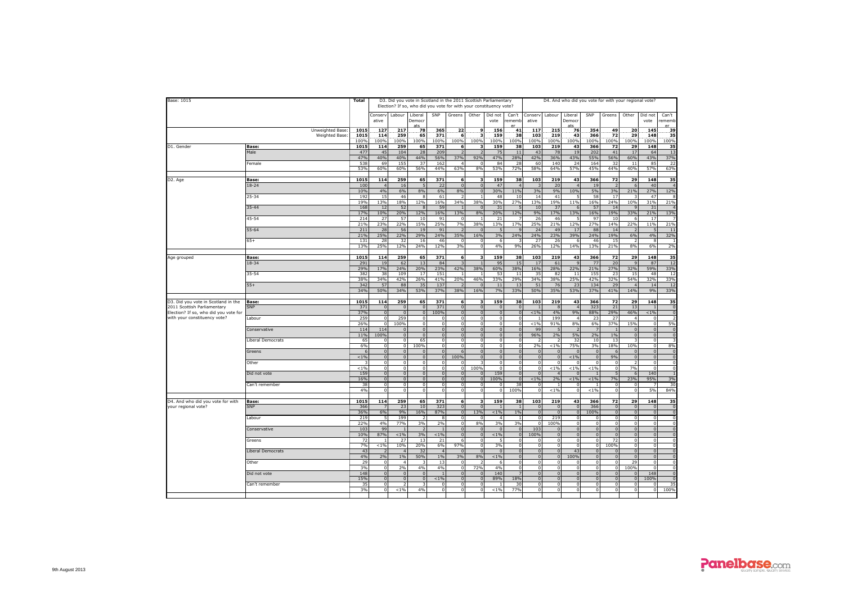| Base: 1015                                                           |                                  | <b>Total</b>       |                                  |                      | D3. Did you vote in Scotland in the 2011 Scottish Parliamentary<br>Election? If so, who did you vote for with your constituency vote? |                                  |                                |                        |                                |                          |                                  |                       |                             |                              | D4. And who did you vote for with your regional vote? |                            |                                  |                |
|----------------------------------------------------------------------|----------------------------------|--------------------|----------------------------------|----------------------|---------------------------------------------------------------------------------------------------------------------------------------|----------------------------------|--------------------------------|------------------------|--------------------------------|--------------------------|----------------------------------|-----------------------|-----------------------------|------------------------------|-------------------------------------------------------|----------------------------|----------------------------------|----------------|
|                                                                      |                                  |                    | Conserv<br>ative                 | Labour               | Liberal<br>Democr                                                                                                                     | SNP                              | Greens                         | Other                  | Did not<br>vote                | Can't<br>ememb           | Conserv<br>ative                 | Labour                | Liberal<br>Democr           | SNP                          | Greens                                                | Other                      | Did not<br>vote                  | Can't<br>ememb |
|                                                                      | Unweighted Base<br>Weighted Base | 101<br>1015        | 127<br>114                       | 217<br>259           | 78<br>65                                                                                                                              | 365<br>371                       | 22<br>6                        | 9                      | 156<br>159                     | 41<br>38                 | 117<br>103                       | 215<br>219            | 76<br>43                    | 354<br>366                   | 49<br>72                                              | 20<br>29                   | 145<br>148                       | 39<br>35       |
|                                                                      |                                  | 100%               | 100%                             | 100%                 | 100%                                                                                                                                  | 100%                             | 100%                           | 100%                   | 100%                           | 100%                     | 100%                             | 100%                  | 100%                        | 100%                         | 100%                                                  | 100%                       | 100%                             | 100%           |
| D1. Gender                                                           | Base:<br>Male                    | 1015<br>477        | 114<br>45                        | 259<br>104           | 65<br>28                                                                                                                              | 371<br>209                       | 6                              |                        | 159<br>75                      | 38<br>11                 | 103<br>43                        | 219<br>78             | 43<br>19                    | 366<br>202                   | 72<br>41                                              | 29<br>17                   | 148<br>64                        | 35<br>13       |
|                                                                      |                                  | 47%                | 40%                              | 40%                  | 44%                                                                                                                                   | 56%                              | 37%                            | 92%                    | 47%                            | 28%                      | 42%                              | 36%                   | 43%                         | 55%                          | 56%                                                   | 60%                        | 43%                              | 37%            |
|                                                                      | Female                           | 538<br>53%         | 69<br>60%                        | 155<br>60%           | 37<br>56%                                                                                                                             | 162<br>44%                       | 4<br>63%                       | 8%                     | 84<br>53%                      | 28<br>72%                | 60<br>58%                        | 140<br>64%            | 24<br>57%                   | 164<br>45%                   | 32<br>44%                                             | 11<br>40%                  | 85<br>57%                        | 22<br>63%      |
|                                                                      |                                  |                    |                                  |                      |                                                                                                                                       |                                  |                                |                        |                                |                          |                                  |                       |                             |                              |                                                       |                            |                                  |                |
| D2. Age                                                              | Base:                            | 1015               | 114                              | 259                  | 65                                                                                                                                    | 371                              | 6                              | 3                      | 159                            | 38                       | 103                              | 219                   | 43                          | 366                          | 72                                                    | 29                         | 148                              | 35             |
|                                                                      | $18 - 24$                        | 100<br>10%         | $\overline{4}$<br>4%             | 16<br>6%             | -5<br>8%                                                                                                                              | 22<br>6%                         | $\mathbf 0$<br>8%              | $\Omega$<br>$\Omega$   | 47<br>30%                      | $\overline{4}$<br>11%    | 3%                               | 20<br>9%              | $\overline{4}$<br>10%       | 19<br>5%                     | $\overline{z}$<br>3%                                  | -6<br>21%                  | 40<br>27%                        | 12%            |
|                                                                      | 25-34                            | 192<br>19%         | 15<br>13%                        | 46<br>18%            | 8<br>12%                                                                                                                              | 61<br>16%                        | 34%                            | 38%                    | 48<br>30%                      | 10<br>27%                | 14<br>13%                        | 41<br>19%             | 11%                         | 58<br>16%                    | 17<br>24%                                             | 10%                        | 47<br>31%                        | 21%            |
|                                                                      | $35 - 44$                        | 168                | 12                               | 52                   | 8                                                                                                                                     | 59                               |                                | $\Omega$               | 31                             |                          | 10                               | 37                    | 6                           | 57                           | 14                                                    | $\mathbf{q}$               | 31                               |                |
|                                                                      |                                  | 17%                | 10%                              | 20%                  | 12%                                                                                                                                   | 16%                              | 13%                            | 8%                     | 20%                            | 12%                      | 9%                               | 17%                   | 13%                         | 16%                          | 19%                                                   | 33%                        | 21%                              | 13%            |
|                                                                      | 45-54                            | 214<br>21%         | 27<br>23%                        | 57<br>22%            | 10<br>15%                                                                                                                             | 91<br>25%                        | n<br>7%                        | 38%                    | 21<br>13%                      | 17%                      | 26<br>25%                        | 46<br>21%             | 5<br>12%                    | 97<br>27%                    | 10<br>14%                                             | -6<br>22%                  | 17<br>11%                        | 219            |
|                                                                      | $55 - 64$                        | 211                | 28                               | 56                   | 19                                                                                                                                    | 91                               |                                |                        | 5                              |                          | 24                               | 49                    | 17                          | 88                           | 14                                                    |                            |                                  | $\mathbf{1}$   |
|                                                                      | $65+$                            | 21%<br>131         | 25%<br>28                        | 22%<br>32            | 29%<br>16                                                                                                                             | 24%<br>46                        | 35%<br>$\Omega$                | 16%                    | 3%<br>6                        | 24%                      | 24%<br>27                        | 23%<br>26             | 39%<br>6                    | 24%<br>46                    | 19%<br>15                                             | 6%                         | 4%<br>$\mathbf{R}$               | 32%            |
|                                                                      |                                  | 13%                | 25%                              | 12%                  | 24%                                                                                                                                   | 12%                              | 3%                             |                        | 4%                             | 9%                       | 26%                              | 12%                   | 14%                         | 13%                          | 21%                                                   | 8%                         | 6%                               | 2%             |
| Age grouped                                                          | Base:                            | 1015               | 114                              | 259                  | 65                                                                                                                                    | 371                              | 6                              |                        | 159                            | 38                       | 103                              | 219                   | 43                          | 366                          | 72                                                    | 29                         | 148                              | 35             |
|                                                                      | $18 - 34$                        | 291                | 19                               | 62                   | 13                                                                                                                                    | 84                               |                                |                        | 95                             | 15                       | 17                               | 61                    | 9                           | 77                           | 20                                                    |                            | 87                               | 12             |
|                                                                      |                                  | 29%                | 17%                              | <b>24%</b>           | 20%                                                                                                                                   | 23%                              | 42%                            | 38%                    | 60%                            | 38%                      | 16%                              | 28%                   | 22%                         | 21%                          | 27%                                                   | 32%                        | 59%                              | 33%            |
|                                                                      | $35 - 54$                        | 382<br>38%         | 38<br>34%                        | 109<br>42%           | 17<br>26%                                                                                                                             | 151<br>41%                       | 20%                            | 46%                    | 53<br>33%                      | 11<br>29%                | 35<br>34%                        | 82<br>38%             | 11<br>25%                   | 155<br>42%                   | 23<br>32%                                             | 15<br>54%                  | 48<br>32%                        | 12<br>33%      |
|                                                                      | $55+$                            | 342                | 57                               | 88                   | 35                                                                                                                                    | 137                              |                                |                        | 11                             | 13                       | 51                               | 76                    | 23                          | 134                          | 29                                                    |                            | 14                               | 12             |
|                                                                      |                                  | 34%                | 50%                              | 34%                  | <b>53%</b>                                                                                                                            | 37%                              | 38%                            | 16%                    | 7%                             | 33%                      | 50%                              | 35%                   | 53%                         | 37%                          | 41%                                                   | 14%                        | 9%                               | 33%            |
| D3. Did you vote in Scotland in the                                  | Base:                            | 1015               | 114                              | 259                  | 65                                                                                                                                    | 371                              | 6                              | 3                      | 159                            | 38                       | 103                              | 219                   | 43                          | 366                          | 72                                                    | 29                         | 148                              | 35             |
| 2011 Scottish Parliamentary<br>Election? If so, who did you vote for | <b>SNP</b>                       | 371<br>37%         | $\Omega$<br>$\Omega$             | $\Omega$<br>$\Omega$ | $\mathbf{0}$<br>$\mathbf{0}$                                                                                                          | 371<br>100%                      | $\mathbf{0}$<br>$\Omega$       | $\Omega$               | $\Omega$<br>$\mathbf{0}$       | $\mathbf{0}$<br>$\Omega$ | $< 1\%$                          | -8<br>4%              | $\overline{4}$<br>9%        | 323<br>88%                   | 21<br>29%                                             | 13<br>46%                  | $\overline{1}$<br>$< 1\%$        |                |
| with your constituency vote?                                         | Labour                           | 259                | $\Omega$                         | 259                  | $\Omega$                                                                                                                              | $\Omega$                         | $\Omega$                       |                        | $\Omega$                       | $\Omega$                 |                                  | 199                   |                             | 23                           | 27                                                    |                            | $\Omega$                         |                |
|                                                                      |                                  | 26%                | $\Omega$                         | 100%<br>$\Omega$     | $\mathbf 0$                                                                                                                           | $\Omega$                         | $\Omega$                       | $\Omega$<br>$\Omega$   | $\Omega$<br>$\Omega$           | $\Omega$<br>$\Omega$     | $< 1\%$                          | 91%                   | 8%                          | 6%                           | 37%                                                   | 15%                        | $\overline{0}$<br>$\Omega$       | 50             |
|                                                                      | Conservative                     | 114<br>11%         | 114<br>100%                      | $\Omega$             | $\mathbf{0}$<br>$\overline{0}$                                                                                                        | $\overline{0}$<br>$\Omega$       | $\Omega$                       |                        | $\overline{0}$                 | $\Omega$                 | 99<br>96%                        | 2%                    | 5%                          | 2%                           | 1%                                                    | $\Omega$<br>$\Omega$       | $\overline{0}$                   |                |
|                                                                      | Liberal Democrats                | 65                 | $\Omega$                         | $\Omega$             | 65                                                                                                                                    | $\Omega$                         | $\Omega$                       | $\Omega$               | $\overline{0}$                 | $\Omega$                 |                                  |                       | 32                          | 10                           | 13                                                    |                            | $\overline{0}$                   |                |
|                                                                      |                                  | 6%                 | $\mathbf{0}$                     | $\circ$              | 100%                                                                                                                                  | $\overline{0}$                   | $\Omega$                       | $\Omega$               | $\overline{0}$                 | $\Omega$                 | 2%                               | $< 1\%$               | 75%                         | 3%                           | 18%                                                   | 10%                        | $\mathbf 0$                      | 8%             |
|                                                                      | Greens                           | $\epsilon$<br>< 1% | $\overline{0}$<br>$\overline{0}$ | $\Omega$<br>$\Omega$ | $\Omega$<br>$\mathbf{0}$                                                                                                              | $\overline{0}$<br>$\overline{0}$ | 100%                           | $\sqrt{2}$<br>$\Omega$ | $\overline{0}$<br>$\mathbf{0}$ | $\Omega$<br>$\Omega$     | $\overline{0}$<br>$\overline{0}$ | $\sqrt{ }$            | $\sqrt{ }$<br>$< 1\%$       | $\mathbf{0}$<br>$\mathbf{0}$ | 6<br>9%                                               | $\Omega$<br>$\overline{0}$ | $\mathbf 0$<br>$\mathbf 0$       |                |
|                                                                      | Other                            |                    | $\mathbf 0$                      | $\Omega$             | $\mathbf 0$                                                                                                                           | $\Omega$                         |                                |                        | $\mathbf 0$                    |                          | $\mathbf 0$                      |                       | $^{\circ}$                  | $\Omega$                     | $\overline{0}$                                        |                            | $\mathbf 0$                      |                |
|                                                                      |                                  | < 1%               | $\Omega$                         | $\Omega$             | $\mathsf 0$                                                                                                                           | $\overline{0}$                   | $\mathbf 0$                    | 100%                   | $\mathbf 0$                    |                          | $\circ$                          | $< 1\%$               | $< 1\%$                     | $< 1\%$                      | $\circ$                                               | 7%                         | $\mathbf 0$                      |                |
|                                                                      | Did not vote                     | 159<br>16%         | $\overline{0}$<br>$\overline{0}$ | $\Omega$<br>$\Omega$ | $\overline{0}$<br>$\mathbf{0}$                                                                                                        | $\Omega$<br>$\Omega$             | $\overline{0}$<br>$\mathbf{0}$ |                        | 159<br>100%                    | $\Omega$                 | $\overline{0}$<br>$< 1\%$        | 2%                    | $\Omega$<br>$< 1\%$         | < 1%                         | 5<br>7%                                               | 6<br>23%                   | 140<br>95%                       | 3%             |
|                                                                      | Can't remember                   | 38                 | $\Omega$                         | $\Omega$             | $\mathbf 0$                                                                                                                           | $\Omega$                         | $\mathbf 0$                    |                        | $\Omega$                       | 38                       | $\Omega$                         |                       | $\Omega$                    |                              | $\circ$                                               |                            |                                  | 3 <sup>0</sup> |
|                                                                      |                                  | 4%                 | $\overline{0}$                   | $\Omega$             | $\overline{0}$                                                                                                                        | $\Omega$                         | $\overline{0}$                 | $\Omega$               | $\overline{0}$                 | 100%                     | $\Omega$                         | $< 1\%$               | $\circ$                     | $< 1\%$                      | $\overline{0}$                                        | $\Omega$                   | 5%                               | 84%            |
| D4. And who did you vote for with                                    | Base:                            | 1015               | 114                              | 259                  | 65                                                                                                                                    | 371                              | 6                              | з                      | 159                            | 38                       | 103                              | 219                   | 43                          | 366                          | 72                                                    | 29                         | 148                              | 35             |
| your regional vote?                                                  | SNP                              | 366                |                                  | 23                   | 10                                                                                                                                    | 323                              | $\mathbf{0}$                   | $\sqrt{ }$             | $\overline{1}$                 | $\mathbf{1}$             | $\mathbf 0$                      | $\Omega$              | $\mathbf 0$                 | 366                          | $\overline{0}$                                        | $\Omega$                   | $\overline{0}$                   |                |
|                                                                      | Labour                           | 36%<br>219         | 6%                               | 9%<br>199            | 16%                                                                                                                                   | 87%<br>8                         | $\mathbf{0}$<br>$\Omega$       | 13%                    | $< 1\%$<br>$\overline{4}$      | $1\%$                    | $\mathbf{0}$<br>$\Omega$         | $\overline{0}$<br>219 | $\mathbf{0}$<br>$\Omega$    | 100%<br>$\Omega$             | $\overline{0}$<br>$\Omega$                            | $\overline{0}$<br>$\Omega$ | $\mathbf{0}$<br>$\mathbf 0$      |                |
|                                                                      |                                  | 22%                | 4%                               | 77%                  | 3%                                                                                                                                    | 2%                               | $\Omega$                       | 8%                     | 3%                             | 3%                       | $\Omega$                         | 100%                  | $\circ$                     | $\Omega$                     | $\overline{0}$                                        | $\Omega$                   | $\mathbf 0$                      |                |
|                                                                      | Conservative                     | 103<br>10%         | 99<br>87%                        | $< 1\%$              | $\overline{z}$<br>3%                                                                                                                  | $< 1\%$                          | $\Omega$                       | $\Omega$<br>$\Omega$   | $\Omega$<br>$< 1\%$            | $\Omega$<br>$\circ$      | 103<br>100%                      | $\Omega$              | $\mathbf{0}$<br>$\mathbf 0$ | $\circ$<br>$\mathbf{0}$      | $\Omega$<br>$\Omega$                                  | $\Omega$<br>$\overline{0}$ | $\mathbf{0}$<br>$\mathbf{0}$     |                |
|                                                                      | Greens                           | 72                 |                                  | 27                   | 13                                                                                                                                    | 21                               |                                |                        |                                |                          |                                  |                       | $\Omega$                    | $\Omega$                     | 72                                                    | $\Omega$                   | $\Omega$                         |                |
|                                                                      |                                  | 7%                 | $< 1\%$                          | 10%                  | 20%                                                                                                                                   | 6%                               | 97%                            | $\Omega$               | 3%                             | $\Omega$                 | $\Omega$                         | $\Omega$              | $\circ$                     | $\circ$                      | 100%                                                  | $\Omega$                   | $\mathbf 0$                      |                |
|                                                                      | Liberal Democrats                | 43<br>4%           | 2%                               | 1%                   | 32<br>50%                                                                                                                             | $\Delta$<br>1%                   | 3%                             | $\sqrt{2}$<br>8%       | $\Omega$<br>$< 1\%$            | $\Omega$                 | $\overline{0}$<br>$\overline{0}$ | $\Omega$              | 43<br>100%                  | $\Omega$<br>$\Omega$         | $\Omega$<br>$\Omega$                                  | $\Omega$<br>$\Omega$       | $\overline{0}$<br>$\overline{0}$ |                |
|                                                                      | Other                            | 29                 | $\Omega$                         |                      | - २                                                                                                                                   | 13                               | $\Omega$                       |                        | 6                              |                          | $\Omega$                         | $\Omega$              | $\overline{0}$              | $\Omega$                     | $\Omega$                                              | 29                         | $\Omega$                         |                |
|                                                                      | Did not vote                     | 3%<br>148          | $\Omega$<br>$\Omega$             | 2%                   | 4%<br>$\Omega$                                                                                                                        | 4%                               | $\Omega$<br>$\Omega$           | 72%                    | 4%<br>140                      |                          | $\mathbf 0$<br>$\Omega$          |                       | $\mathbf 0$<br>$\Omega$     | $\Omega$                     | $\mathbf{0}$<br>$\Omega$                              | 100%                       | $\mathbf 0$<br>148               |                |
|                                                                      |                                  | 15%                | $\Omega$                         |                      | $\Omega$                                                                                                                              | $< 1\%$                          | $\Omega$                       |                        | 89%                            | 18%                      | $\Omega$                         |                       | $\Omega$                    |                              | $\Omega$                                              |                            | 100%                             |                |
|                                                                      | Can't remember                   | 35                 | $\Omega$                         |                      |                                                                                                                                       | $\Omega$                         | $\mathbf 0$                    |                        |                                | 30                       | $\mathbf 0$                      |                       | $\mathbf 0$                 |                              | $\circ$                                               | $\Omega$                   | $\mathbf 0$                      | 35             |
|                                                                      |                                  | 3%                 | $\Omega$                         | < 1%                 | 4%                                                                                                                                    |                                  | $\Omega$                       |                        | $< 1\%$                        | 77%                      | $\Omega$                         |                       | $\Omega$                    |                              | $\overline{0}$                                        | $\Omega$                   | $\Omega$                         | 100%           |
|                                                                      |                                  |                    |                                  |                      |                                                                                                                                       |                                  |                                |                        |                                |                          |                                  |                       |                             |                              |                                                       |                            |                                  |                |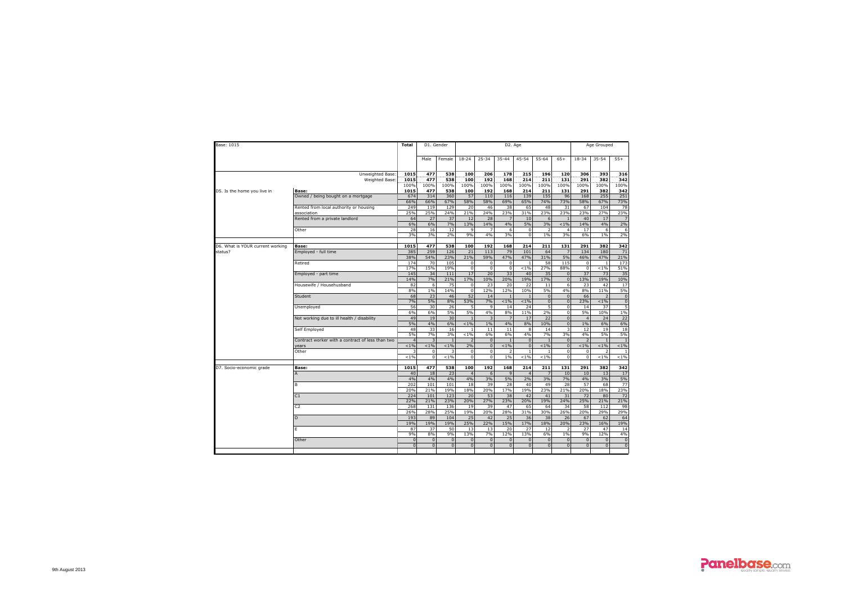| Base: 1015                       |                                                  | Total                    | D1. Gender               |                          |                                |                                  |                            | D <sub>2</sub> . Age       |                          |                          |                               | Age Grouped               |                             |
|----------------------------------|--------------------------------------------------|--------------------------|--------------------------|--------------------------|--------------------------------|----------------------------------|----------------------------|----------------------------|--------------------------|--------------------------|-------------------------------|---------------------------|-----------------------------|
|                                  |                                                  |                          | Male                     | Female                   | $18 - 24$                      | $25 - 34$                        | 35-44                      | $45 - 54$                  | 55-64                    | $65+$                    | 18-34                         | $35 - 54$                 | $55+$                       |
|                                  | Unweighted Base:<br>Weighted Base:               | 1015<br>1015             | 477<br>477               | 538<br>538               | 100<br>100                     | 206<br>192                       | 178<br>168                 | 215<br>214                 | 196<br>211               | 120<br>131               | 306<br>291                    | 393<br>382                | 316<br>342                  |
|                                  |                                                  | 100%                     | 100%                     | 100%                     | 100%                           | 100%                             | 100%                       | 100%                       | 100%                     | 100%                     | 100%                          | 100%                      | 100%                        |
| D5. Is the home you live in      | Base:<br>Owned / being bought on a mortgage      | 1015<br>674              | 477<br>314               | 538<br>360               | 100<br>57                      | 192<br>110                       | 168<br>116                 | 214<br>139                 | 211<br>155               | 131<br>96                | 291<br>168                    | 382<br>255                | 342<br>251                  |
|                                  |                                                  | 66%                      | 66%                      | 67%                      | 58%                            | 58%                              | 69%                        | 65%                        | 74%                      | 73%                      | 58%                           | 67%                       | 73%                         |
|                                  | Rented from local authority or housing           | 249                      | 119                      | 129                      | 20                             | 46                               | 38                         | 65                         | 48                       | 31                       | 67                            | 104                       | 78                          |
|                                  | association                                      | 25%                      | 25%                      | 24%                      | 21%                            | 24%                              | 23%                        | 31%                        | 23%                      | 23%                      | 23%                           | 27%                       | 23%                         |
|                                  | Rented from a private landlord                   | 64                       | 27                       | 37                       | 12                             | 28                               | $\overline{7}$             | 10                         | 6                        |                          | 40                            | 17                        |                             |
|                                  |                                                  | 6%                       | 6%                       | 7%                       | 13%                            | 14%                              | 4%                         | 5%                         | 3%                       | $< 1\%$                  | 14%                           | 4%                        | 2%                          |
|                                  | Other                                            | 28<br>3%                 | 16<br>3%                 | 12<br>2%                 | 9<br>9%                        | $\overline{7}$<br>4%             | 6<br>3%                    | $\mathbf 0$<br>$\mathbf 0$ | $\overline{2}$<br>1%     | $\overline{4}$<br>3%     | 17<br>6%                      | 6<br>1%                   | 6<br>2%                     |
| D6. What is YOUR current working | Base:                                            | 1015                     | 477                      | 538                      | 100                            | 192                              | 168                        | 214                        | 211                      | 131                      | 291                           | 382                       | 342                         |
| status?                          | Employed - full time                             | 385                      | 259                      | 126                      | 21                             | 113                              | 79                         | 101                        | 64                       | $\overline{7}$           | 134                           | 180                       | 71                          |
|                                  |                                                  | 38%                      | 54%                      | 23%                      | 21%                            | 59%                              | 47%                        | 47%                        | 31%                      | 5%                       | 46%                           | 47%                       | 21%                         |
|                                  | Retired                                          | 174                      | 70                       | 105                      | 0                              | $\overline{0}$<br>$\Omega$       | $\mathbf{0}$<br>$\Omega$   | $\overline{1}$             | 58                       | 115                      | $\overline{0}$<br>$\Omega$    | $\overline{1}$            | 173                         |
|                                  | Employed - part time                             | 17%<br>145               | 15%<br>34                | 19%<br>111               | $\mathbf 0$<br>17              | 20                               | 33                         | $< 1\%$<br>40              | 27%<br>35                | 88%<br>$\mathbf{0}$      | 37                            | $< 1\%$<br>73             | 51%<br>35                   |
|                                  |                                                  | 14%                      | 7%                       | 21%                      | 17%                            | 10%                              | 20%                        | 19%                        | 17%                      | $\mathsf 0$              | 13%                           | 19%                       | 10%                         |
|                                  | Housewife / Househusband                         | 82                       | 6                        | 75                       | $\mathbf 0$                    | 23                               | 20                         | 22                         | 11                       | $\overline{6}$           | 23                            | 42                        | 17                          |
|                                  |                                                  | 8%                       | 1%                       | 14%                      | $\mathbf 0$                    | 12%                              | 12%                        | 10%                        | 5%                       | 4%                       | 8%                            | 11%                       | 5%                          |
|                                  | Student                                          | 68                       | 23                       | 46                       | 52                             | 14                               | $\overline{1}$             |                            | $\mathbf{0}$             | $\mathbf{0}$             | 66                            | $\overline{z}$            | $\overline{0}$              |
|                                  |                                                  | 7%                       | 5%                       | 8%                       | 53%                            | 7%                               | $1\%$                      | $1\%$                      | $\overline{0}$           | $\overline{0}$           | 23%                           | $< 1\%$                   | $\overline{0}$              |
|                                  | Unemployed                                       | 56<br>6%                 | 30                       | 26<br>5%                 | 5<br>5%                        | $\mathbf{q}$                     | 14<br>8%                   | 24<br>11%                  | 5<br>2%                  | $\Omega$<br>$\mathbf 0$  | 14<br>5%                      | 37                        | 5<br>1%                     |
|                                  | Not working due to ill health / disability       | 49                       | 6%<br>19                 | 30                       | $\mathbf{1}$                   | 4%<br>$\overline{\mathbf{3}}$    | $\overline{7}$             | 17                         | 22                       | $\overline{0}$           | $\overline{a}$                | 10%<br>24                 | 22                          |
|                                  |                                                  | 5%                       | 4%                       | 6%                       | $< 1\%$                        | $1\%$                            | 4%                         | 8%                         | 10%                      | $\overline{0}$           | $1\%$                         | 6%                        | 6%                          |
|                                  | Self Employed                                    | 48                       | 33                       | 16                       | -1                             | 11                               | 11                         | 8                          | 14                       | $\overline{\mathbf{3}}$  | 12                            | 19                        | 18                          |
|                                  |                                                  | 5%                       | 7%                       | 3%                       | $< 1\%$                        | 6%                               | 6%                         | 4%                         | 7%                       | 3%                       | 4%                            | 5%                        | 5%                          |
|                                  | Contract worker with a contract of less than two |                          | $\overline{3}$           | $\overline{1}$           | $\overline{2}$                 | $\overline{0}$                   | $\mathbf{1}$               | $\mathbf{0}$               |                          | $\overline{0}$           | $\overline{2}$                | $\overline{1}$            | $\overline{1}$              |
|                                  | vears                                            | $1\%$                    | $1\%$                    | 1%                       | 2%                             | $\overline{0}$                   | $1\%$                      | $\mathbf{0}$               | $< 1\%$                  | $\mathbf{0}$             | $< 1\%$                       | $< 1\%$                   | $< 1\%$                     |
|                                  | Other                                            | $< 1\%$                  | $\Omega$<br>$\mathbf 0$  | 3<br>$< 1\%$             | $\mathbf 0$<br>$\mathbf 0$     | $\overline{0}$<br>$\overline{0}$ | $\overline{2}$<br>1%       | $\overline{1}$<br>$< 1\%$  | $\mathbf{1}$<br>$< 1\%$  | $\mathbf 0$<br>$\Omega$  | $\mathbf 0$<br>$\overline{0}$ | $\overline{ }$<br>$< 1\%$ | $\mathbf{1}$<br>$< 1\%$     |
|                                  |                                                  |                          |                          |                          |                                |                                  |                            |                            |                          |                          |                               |                           |                             |
| D7. Socio-economic grade         | Base:                                            | 1015                     | 477                      | 538                      | 100                            | 192                              | 168                        | 214                        | 211                      | 131                      | 291                           | 382                       | 342                         |
|                                  | A                                                | 40                       | 18                       | 23                       | $\overline{4}$                 | 6                                | $\mathbf{q}$               | $\overline{4}$             | 7                        | 10                       | 10                            | 13                        | 17                          |
|                                  |                                                  | 4%                       | 4%                       | 4%                       | 4%                             | 3%                               | 5%                         | 2%                         | 3%                       | 7%                       | 4%                            | 3%                        | 5%                          |
|                                  | B                                                | 202                      | 101                      | 101                      | 18                             | 39                               | 28                         | 40                         | 49                       | 28                       | 57                            | 68                        | 77                          |
|                                  | C1                                               | 20%<br>224               | 21%<br>101               | 19%<br>123               | 18%<br>20                      | 20%<br>53                        | 17%<br>38                  | 19%<br>42                  | 23%<br>41                | 21%<br>31                | 20%<br>72                     | 18%<br>80                 | 23%<br>72                   |
|                                  |                                                  | 22%                      | 21%                      | 23%                      | 20%                            | 27%                              | 23%                        | 20%                        | 19%                      | 24%                      | 25%                           | 21%                       | 21%                         |
|                                  | C <sub>2</sub>                                   | 268                      | 131                      | 136                      | 19                             | 39                               | 47                         | 65                         | 64                       | 34                       | 58                            | 112                       | 98                          |
|                                  |                                                  | 26%                      | 28%                      | 25%                      | 19%                            | 20%                              | 28%                        | 31%                        | 30%                      | 26%                      | 20%                           | 29%                       | 29%                         |
|                                  | D                                                | 193                      | 89                       | 104                      | 25                             | 42                               | 25                         | 36                         | 38                       | 26                       | 67                            | 62                        | 64                          |
|                                  |                                                  | 19%                      | 19%                      | 19%                      | 25%                            | 22%                              | 15%                        | 17%                        | 18%                      | 20%                      | 23%                           | 16%                       | 19%                         |
|                                  | E                                                | 87                       | 37                       | 50                       | 13                             | 13                               | 20                         | 27                         | 12                       |                          | 27                            | 47                        | 14                          |
|                                  |                                                  | 9%                       | 8%                       | 9%                       | 13%                            | 7%                               | 12%                        | 13%                        | 6%                       | 1%                       | 9%                            | 12%                       | 4%                          |
|                                  |                                                  |                          |                          |                          |                                |                                  |                            |                            |                          |                          |                               |                           |                             |
|                                  | Other                                            | $\mathbf{0}$<br>$\Omega$ | $\mathbf{0}$<br>$\Omega$ | $\mathbf{0}$<br>$\Omega$ | $\mathbf{0}$<br>$\overline{0}$ | $\overline{0}$<br>$\Omega$       | $\overline{0}$<br>$\Omega$ | $\mathbf{0}$<br>$\Omega$   | $\mathbf{0}$<br>$\Omega$ | $\mathbf{0}$<br>$\Omega$ | $\overline{0}$<br>$\Omega$    | $\mathbf{0}$<br>$\Omega$  | $\mathbf{0}$<br>$\mathbb O$ |